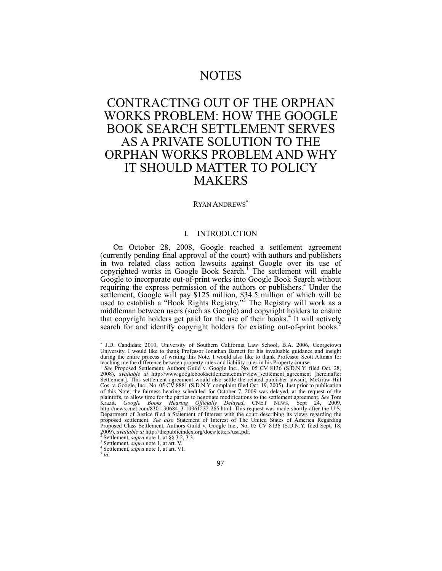# **NOTES**

# CONTRACTING OUT OF THE ORPHAN WORKS PROBLEM: HOW THE GOOGLE BOOK SEARCH SETTLEMENT SERVES AS A PRIVATE SOLUTION TO THE ORPHAN WORKS PROBLEM AND WHY IT SHOULD MATTER TO POLICY MAKERS

#### RYAN ANDREWS

# <span id="page-0-0"></span>I. INTRODUCTION

On October 28, 2008, Google reached a settlement agreement (currently pending final approval of the court) with authors and publishers in two related class action lawsuits against Google over its use of copyrighted works in Google Book Search.<sup>1</sup> The settlement will enable Google to incorporate out-of-print works into Google Book Search without requiring the express permission of the authors or publishers.<sup>2</sup> Under the settlement, Google will pay \$125 million, \$34.5 million of which will be used to establish a "Book Rights Registry."<sup>3</sup> The Registry will work as a middleman between users (such as Google) and copyright holders to ensure that copyright holders get paid for the use of their books.<sup>4</sup> It will actively search for and identify copyright holders for existing out-of-print books.<sup>5</sup>

 J.D. Candidate 2010, University of Southern California Law School, B.A. 2006, Georgetown University. I would like to thank Professor Jonathan Barnett for his invaluable guidance and insight during the entire process of writing this Note. I would also like to thank Professor Scott Altman for teaching me the difference between property rules and liability rules in his Property course.

*See* Proposed Settlement, Authors Guild v. Google Inc., No. 05 CV 8136 (S.D.N.Y. filed Oct. 28, 2008), *available at* http://www.googlebooksettlement.com/r/view\_settlement\_agreement [hereinafter Settlement]. This settlement agreement would also settle the related publisher lawsuit, McGraw-Hill Cos. v. Google, Inc., No. 05 CV 8881 (S.D.N.Y. complaint filed Oct. 19, 2005). Just prior to publication of this Note, the fairness hearing scheduled for October 7, 2009 was delayed, at the request of the plaintiffs, to allow time for the parties to negotiate modifications to the settlement agreement. *See* Tom Krazit, *Google Books Hearing Officially Delayed*, CNET NEWS, Sept 24, 2009, http://news.cnet.com/8301-30684\_3-10361232-265.html. This request was made shortly after the U.S. Department of Justice filed a Statement of Interest with the court describing its views regarding the proposed settlement. *See also* Statement of Interest of The United States of America Regarding Proposed Class Settlement, Authors Guild v. Google Inc., No. 05 CV 8136 (S.D.N.Y. filed Sept. 18, 2009), *available at* http://thepublicindex.org/docs/letters/usa.pdf.

<sup>&</sup>lt;sup>2</sup> Settlement, *supra* note 1, at §§ 3.2, 3.3.<br>
<sup>3</sup> Settlement, *supra* note 1, at art. V.

Settlement, *supra* note 1, at art. VI.

<sup>5</sup> *Id.*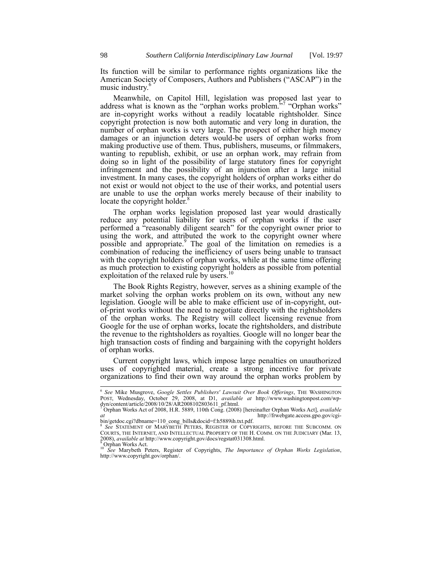Its function will be similar to performance rights organizations like the American Society of Composers, Authors and Publishers ("ASCAP") in the music industry.<sup>6</sup>

Meanwhile, on Capitol Hill, legislation was proposed last year to address what is known as the "orphan works problem."<sup>77</sup> "Orphan works" are in-copyright works without a readily locatable rightsholder. Since copyright protection is now both automatic and very long in duration, the number of orphan works is very large. The prospect of either high money damages or an injunction deters would-be users of orphan works from making productive use of them. Thus, publishers, museums, or filmmakers, wanting to republish, exhibit, or use an orphan work, may refrain from doing so in light of the possibility of large statutory fines for copyright infringement and the possibility of an injunction after a large initial investment. In many cases, the copyright holders of orphan works either do not exist or would not object to the use of their works, and potential users are unable to use the orphan works merely because of their inability to locate the copyright holder.<sup>8</sup>

<span id="page-1-0"></span>The orphan works legislation proposed last year would drastically reduce any potential liability for users of orphan works if the user performed a "reasonably diligent search" for the copyright owner prior to using the work, and attributed the work to the copyright owner where possible and appropriate.<sup>9</sup> The goal of the limitation on remedies is a combination of reducing the inefficiency of users being unable to transact with the copyright holders of orphan works, while at the same time offering as much protection to existing copyright holders as possible from potential exploitation of the relaxed rule by users.<sup>10</sup>

The Book Rights Registry, however, serves as a shining example of the market solving the orphan works problem on its own, without any new legislation. Google will be able to make efficient use of in-copyright, outof-print works without the need to negotiate directly with the rightsholders of the orphan works. The Registry will collect licensing revenue from Google for the use of orphan works, locate the rightsholders, and distribute the revenue to the rightsholders as royalties. Google will no longer bear the high transaction costs of finding and bargaining with the copyright holders of orphan works.

Current copyright laws, which impose large penalties on unauthorized uses of copyrighted material, create a strong incentive for private organizations to find their own way around the orphan works problem by

 $\overline{\phantom{a}}$ 

<sup>6</sup> *See* Mike Musgrove, *Google Settles Publishers' Lawsuit Over Book Offerings*, THE WASHINGTON POST, Wednesday, October 29, 2008, at D1, *available at* http://www.washingtonpost.com/wp-<br>dyn/content/article/2008/10/28/AR2008102803611\_pf.html.<br><sup>7</sup> Orphan Works Act of 2008, H.R. 5889, 110th Cong. (2008) [hereinafter Or

*at* http://frwebgate.access.gpo.gov/cgi-

bin/getdoc.cgi?dbname=110\_cong\_bills&docid=f:h5889ih.txt.pdf. *See* STATEMENT OF MARYBETH PETERS, REGISTER OF COPYRIGHTS, BEFORE THE SUBCOMM. ON COURTS, THE INTERNET, AND INTELLECTUAL PROPERTY OF THE H. COMM. ON THE JUDICIARY (Mar. 13, 2008), *available at* http://www.copyright.gov/docs/regstat031308.html.

 $^{9}$ Orphan Works Act.

<sup>10</sup> *See* Marybeth Peters, Register of Copyrights, *The Importance of Orphan Works Legislation*, http://www.copyright.gov/orphan/.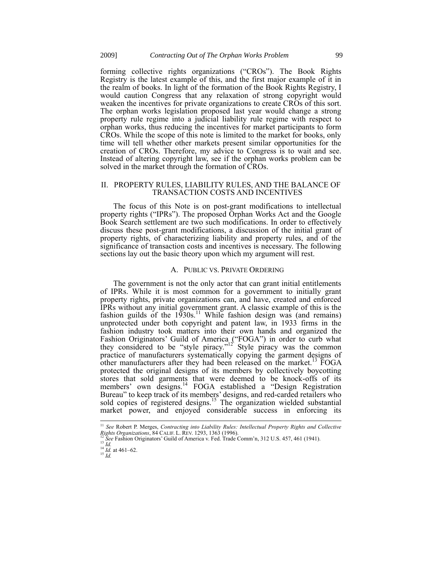forming collective rights organizations ("CROs"). The Book Rights Registry is the latest example of this, and the first major example of it in the realm of books. In light of the formation of the Book Rights Registry, I would caution Congress that any relaxation of strong copyright would weaken the incentives for private organizations to create CROs of this sort. The orphan works legislation proposed last year would change a strong property rule regime into a judicial liability rule regime with respect to orphan works, thus reducing the incentives for market participants to form CROs. While the scope of this note is limited to the market for books, only time will tell whether other markets present similar opportunities for the creation of CROs. Therefore, my advice to Congress is to wait and see. Instead of altering copyright law, see if the orphan works problem can be solved in the market through the formation of CROs.

### II. PROPERTY RULES, LIABILITY RULES, AND THE BALANCE OF TRANSACTION COSTS AND INCENTIVES

The focus of this Note is on post-grant modifications to intellectual property rights ("IPRs"). The proposed Orphan Works Act and the Google Book Search settlement are two such modifications. In order to effectively discuss these post-grant modifications, a discussion of the initial grant of property rights, of characterizing liability and property rules, and of the significance of transaction costs and incentives is necessary. The following sections lay out the basic theory upon which my argument will rest.

## <span id="page-2-0"></span>A. PUBLIC VS. PRIVATE ORDERING

The government is not the only actor that can grant initial entitlements of IPRs. While it is most common for a government to initially grant property rights, private organizations can, and have, created and enforced IPRs without any initial government grant. A classic example of this is the fashion guilds of the  $1930s$ .<sup>11</sup> While fashion design was (and remains) unprotected under both copyright and patent law, in 1933 firms in the fashion industry took matters into their own hands and organized the Fashion Originators' Guild of America ("FOGA") in order to curb what they considered to be "style piracy."<sup>12</sup> Style piracy was the common practice of manufacturers systematically copying the garment designs of other manufacturers after they had been released on the market.<sup>13</sup> FOGA protected the original designs of its members by collectively boycotting stores that sold garments that were deemed to be knock-offs of its members' own designs.<sup>14</sup> FOGA established a "Design Registration Bureau" to keep track of its members' designs, and red-carded retailers who sold copies of registered designs.<sup>15</sup> The organization wielded substantial market power, and enjoyed considerable success in enforcing its

 $\overline{\phantom{a}}$ <sup>11</sup> *See* Robert P. Merges, *Contracting into Liability Rules: Intellectual Property Rights and Collective Rights Organizations*, 84 CALIF. L. REV. 1293, 1363 (1996).

See Fashion Originators' Guild of America v. Fed. Trade Comm'n, 312 U.S. 457, 461 (1941).  $^{13}$  *Id.* 

<sup>14</sup> *Id.* at 461–62. <sup>15</sup> *Id.*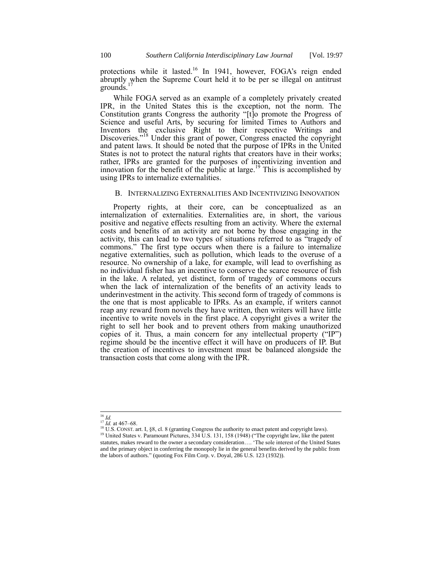protections while it lasted.<sup>16</sup> In 1941, however, FOGA's reign ended abruptly when the Supreme Court held it to be per se illegal on antitrust  $\frac{1}{2}$ grounds.<sup>17</sup>

While FOGA served as an example of a completely privately created IPR, in the United States this is the exception, not the norm. The Constitution grants Congress the authority "[t]o promote the Progress of Science and useful Arts, by securing for limited Times to Authors and Inventors the exclusive Right to their respective Writings and Discoveries."<sup>18</sup> Under this grant of power, Congress enacted the copyright and patent laws. It should be noted that the purpose of IPRs in the United States is not to protect the natural rights that creators have in their works; rather, IPRs are granted for the purposes of incentivizing invention and innovation for the benefit of the public at large.<sup>19</sup> This is accomplished by using IPRs to internalize externalities.

#### B. INTERNALIZING EXTERNALITIES AND INCENTIVIZING INNOVATION

Property rights, at their core, can be conceptualized as an internalization of externalities. Externalities are, in short, the various positive and negative effects resulting from an activity. Where the external costs and benefits of an activity are not borne by those engaging in the activity, this can lead to two types of situations referred to as "tragedy of commons." The first type occurs when there is a failure to internalize negative externalities, such as pollution, which leads to the overuse of a resource. No ownership of a lake, for example, will lead to overfishing as no individual fisher has an incentive to conserve the scarce resource of fish in the lake. A related, yet distinct, form of tragedy of commons occurs when the lack of internalization of the benefits of an activity leads to underinvestment in the activity. This second form of tragedy of commons is the one that is most applicable to IPRs. As an example, if writers cannot reap any reward from novels they have written, then writers will have little incentive to write novels in the first place. A copyright gives a writer the right to sell her book and to prevent others from making unauthorized copies of it. Thus, a main concern for any intellectual property ("IP") regime should be the incentive effect it will have on producers of IP. But the creation of incentives to investment must be balanced alongside the transaction costs that come along with the IPR.

 $\overline{\phantom{a}}$ <sup>16</sup> *Id.*

 $^{17}$  *Id.* at 467–68.

<sup>&</sup>lt;sup>18</sup> U.S. CONST. art. I, §8, cl. 8 (granting Congress the authority to enact patent and copyright laws).

<sup>&</sup>lt;sup>19</sup> United States v. Paramount Pictures, 334 U.S. 131, 158 (1948) ("The copyright law, like the patent statutes, makes reward to the owner a secondary consideration…. 'The sole interest of the United States and the primary object in conferring the monopoly lie in the general benefits derived by the public from the labors of authors." (quoting Fox Film Corp. v. Doyal, 286 U.S. 123 (1932)).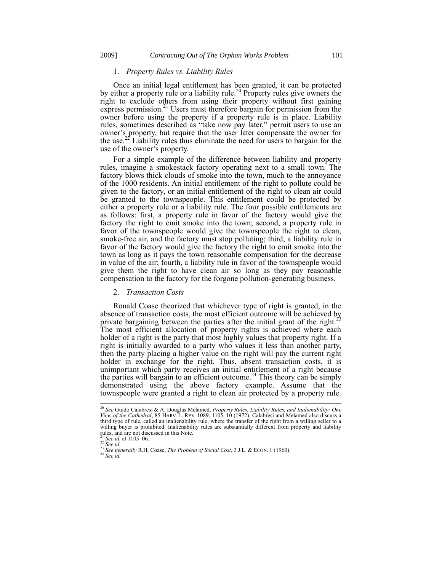#### <span id="page-4-0"></span>1. *Property Rules vs. Liability Rules*

Once an initial legal entitlement has been granted, it can be protected by either a property rule or a liability rule.<sup>20</sup> Property rules give owners the right to exclude others from using their property without first gaining express permission.<sup>21</sup> Users must therefore bargain for permission from the owner before using the property if a property rule is in place. Liability rules, sometimes described as "take now pay later," permit users to use an owner's property, but require that the user later compensate the owner for the use.<sup>22</sup> Liability rules thus eliminate the need for users to bargain for the use of the owner's property.

For a simple example of the difference between liability and property rules, imagine a smokestack factory operating next to a small town. The factory blows thick clouds of smoke into the town, much to the annoyance of the 1000 residents. An initial entitlement of the right to pollute could be given to the factory, or an initial entitlement of the right to clean air could be granted to the townspeople. This entitlement could be protected by either a property rule or a liability rule. The four possible entitlements are as follows: first, a property rule in favor of the factory would give the factory the right to emit smoke into the town; second, a property rule in favor of the townspeople would give the townspeople the right to clean, smoke-free air, and the factory must stop polluting; third, a liability rule in favor of the factory would give the factory the right to emit smoke into the town as long as it pays the town reasonable compensation for the decrease in value of the air; fourth, a liability rule in favor of the townspeople would give them the right to have clean air so long as they pay reasonable compensation to the factory for the forgone pollution-generating business.

## <span id="page-4-1"></span>2. *Transaction Costs*

Ronald Coase theorized that whichever type of right is granted, in the absence of transaction costs, the most efficient outcome will be achieved by private bargaining between the parties after the initial grant of the right.<sup>23</sup> The most efficient allocation of property rights is achieved where each holder of a right is the party that most highly values that property right. If a right is initially awarded to a party who values it less than another party, then the party placing a higher value on the right will pay the current right holder in exchange for the right. Thus, absent transaction costs, it is unimportant which party receives an initial entitlement of a right because the parties will bargain to an efficient outcome.<sup>24</sup> This theory can be simply demonstrated using the above factory example. Assume that the townspeople were granted a right to clean air protected by a property rule.

<sup>24</sup> *See id.*

 $\overline{1}$ 

<sup>20</sup> *See* Guido Calabresi & A. Douglas Melamed, *Property Rules, Liability Rules, and Inalienability: One View of the Cathedral*, 85 HARV. L. REV. 1089, 1105–10 (1972). Calabresi and Melamed also discuss a third type of rule, called an inalienability rule, where the transfer of the right from a willing seller to a willing buyer is prohibited. Inalienability rules are substantially different from property and liability rules, and are not discussed in this Note.

<sup>21</sup> *See id.* at 1105–06. <sup>22</sup> *See id.*

<sup>&</sup>lt;sup>23</sup> See generally R.H. Coase, *The Problem of Social Cost*, 3 J.L. & ECON. 1 (1960).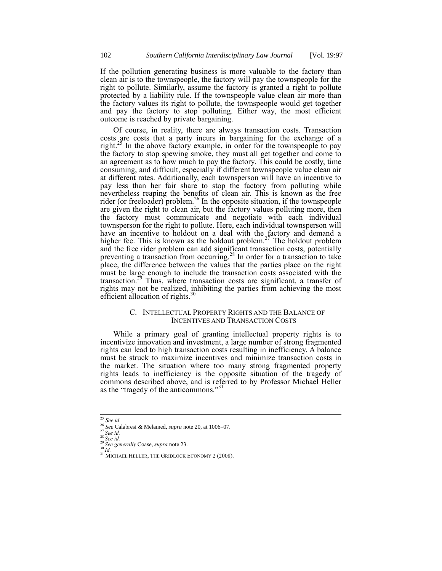If the pollution generating business is more valuable to the factory than clean air is to the townspeople, the factory will pay the townspeople for the right to pollute. Similarly, assume the factory is granted a right to pollute protected by a liability rule. If the townspeople value clean air more than the factory values its right to pollute, the townspeople would get together and pay the factory to stop polluting. Either way, the most efficient outcome is reached by private bargaining.

Of course, in reality, there are always transaction costs. Transaction costs are costs that a party incurs in bargaining for the exchange of a right.<sup>25</sup> In the above factory example, in order for the townspeople to pay the factory to stop spewing smoke, they must all get together and come to an agreement as to how much to pay the factory. This could be costly, time consuming, and difficult, especially if different townspeople value clean air at different rates. Additionally, each townsperson will have an incentive to pay less than her fair share to stop the factory from polluting while nevertheless reaping the benefits of clean air. This is known as the free rider (or freeloader) problem.<sup>26</sup> In the opposite situation, if the townspeople are given the right to clean air, but the factory values polluting more, then the factory must communicate and negotiate with each individual townsperson for the right to pollute. Here, each individual townsperson will have an incentive to holdout on a deal with the factory and demand a higher fee. This is known as the holdout problem.<sup>27</sup> The holdout problem and the free rider problem can add significant transaction costs, potentially preventing a transaction from occurring.<sup>28</sup> In order for a transaction to take place, the difference between the values that the parties place on the right must be large enough to include the transaction costs associated with the transaction.<sup>29</sup> Thus, where transaction costs are significant, a transfer of rights may not be realized, inhibiting the parties from achieving the most efficient allocation of rights.<sup>30</sup>

## C. INTELLECTUAL PROPERTY RIGHTS AND THE BALANCE OF INCENTIVES AND TRANSACTION COSTS

While a primary goal of granting intellectual property rights is to incentivize innovation and investment, a large number of strong fragmented rights can lead to high transaction costs resulting in inefficiency. A balance must be struck to maximize incentives and minimize transaction costs in the market. The situation where too many strong fragmented property rights leads to inefficiency is the opposite situation of the tragedy of commons described above, and is referred to by Professor Michael Heller as the "tragedy of the anticommons."<sup>31</sup>

<sup>25</sup> *See id.*

<sup>26</sup> *See* Calabresi & Melamed, *supra* not[e 20,](#page-4-0) at 1006–07.

<sup>27</sup> *See id.* <sup>28</sup> *See id.*

<sup>29</sup> *See generally* Coase, *supra* not[e 23.](#page-4-1)

 $30\, \tilde{I}$ d.

<sup>&</sup>lt;sup>31</sup> MICHAEL HELLER, THE GRIDLOCK ECONOMY 2 (2008).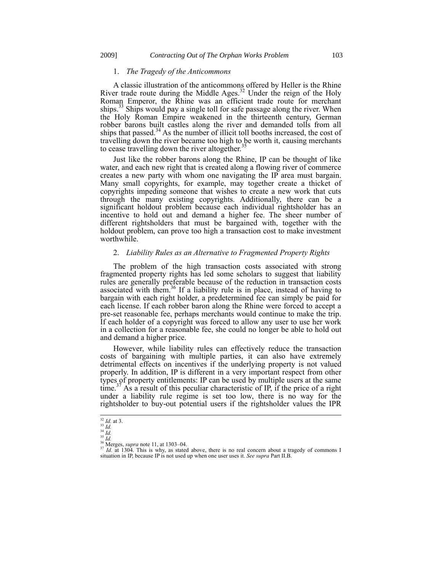#### 1. *The Tragedy of the Anticommons*

A classic illustration of the anticommons offered by Heller is the Rhine River trade route during the Middle Ages.<sup>32</sup> Under the reign of the Holy Roman Emperor, the Rhine was an efficient trade route for merchant ships.<sup>33</sup> Ships would pay a single toll for safe passage along the river. When the Holy Roman Empire weakened in the thirteenth century, German robber barons built castles along the river and demanded tolls from all ships that passed.<sup>34</sup> As the number of illicit toll booths increased, the cost of travelling down the river became too high to be worth it, causing merchants to cease travelling down the river altogether.<sup>3</sup>

Just like the robber barons along the Rhine, IP can be thought of like water, and each new right that is created along a flowing river of commerce creates a new party with whom one navigating the IP area must bargain. Many small copyrights, for example, may together create a thicket of copyrights impeding someone that wishes to create a new work that cuts through the many existing copyrights. Additionally, there can be a significant holdout problem because each individual rightsholder has an incentive to hold out and demand a higher fee. The sheer number of different rightsholders that must be bargained with, together with the holdout problem, can prove too high a transaction cost to make investment worthwhile.

#### 2. *Liability Rules as an Alternative to Fragmented Property Rights*

The problem of the high transaction costs associated with strong fragmented property rights has led some scholars to suggest that liability rules are generally preferable because of the reduction in transaction costs associated with them.<sup>36</sup> If a liability rule is in place, instead of having to bargain with each right holder, a predetermined fee can simply be paid for each license. If each robber baron along the Rhine were forced to accept a pre-set reasonable fee, perhaps merchants would continue to make the trip. If each holder of a copyright was forced to allow any user to use her work in a collection for a reasonable fee, she could no longer be able to hold out and demand a higher price.

However, while liability rules can effectively reduce the transaction costs of bargaining with multiple parties, it can also have extremely detrimental effects on incentives if the underlying property is not valued properly. In addition, IP is different in a very important respect from other types of property entitlements: IP can be used by multiple users at the same time.<sup>37</sup> As a result of this peculiar characteristic of IP, if the price of a right under a liability rule regime is set too low, there is no way for the rightsholder to buy-out potential users if the rightsholder values the IPR

<sup>32</sup> *Id.* at 3. <sup>33</sup> *Id.*

<sup>34</sup> *Id.*

<sup>35</sup> *Id.*

<sup>&</sup>lt;sup>36</sup> Merges, *supra* note [11,](#page-2-0) at 1303–04.

 $37$  *Id.* at 1304. This is why, as stated above, there is no real concern about a tragedy of commons I situation in IP, because IP is not used up when one user uses it. *See supra* Part II.B.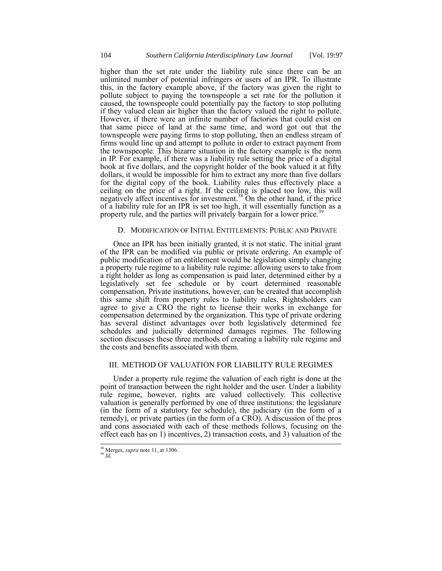higher than the set rate under the liability rule since there can be an unlimited number of potential infringers or users of an IPR. To illustrate this, in the factory example above, if the factory was given the right to pollute subject to paying the townspeople a set rate for the pollution it caused, the townspeople could potentially pay the factory to stop polluting if they valued clean air higher than the factory valued the right to pollute. However, if there were an infinite number of factories that could exist on that same piece of land at the same time, and word got out that the townspeople were paying firms to stop polluting, then an endless stream of firms would line up and attempt to pollute in order to extract payment from the townspeople. This bizarre situation in the factory example is the norm in IP. For example, if there was a liability rule setting the price of a digital book at five dollars, and the copyright holder of the book valued it at fifty dollars, it would be impossible for him to extract any more than five dollars for the digital copy of the book. Liability rules thus effectively place a ceiling on the price of a right. If the ceiling is placed too low, this will negatively affect incentives for investment.<sup>38</sup> On the other hand, if the price of a liability rule for an IPR is set too high, it will essentially function as a property rule, and the parties will privately bargain for a lower price.<sup>39</sup>

## D. MODIFICATION OF INITIAL ENTITLEMENTS: PUBLIC AND PRIVATE

Once an IPR has been initially granted, it is not static. The initial grant of the IPR can be modified via public or private ordering. An example of public modification of an entitlement would be legislation simply changing a property rule regime to a liability rule regime: allowing users to take from a right holder as long as compensation is paid later, determined either by a legislatively set fee schedule or by court determined reasonable compensation. Private institutions, however, can be created that accomplish this same shift from property rules to liability rules. Rightsholders can agree to give a CRO the right to license their works in exchange for compensation determined by the organization. This type of private ordering has several distinct advantages over both legislatively determined fee schedules and judicially determined damages regimes. The following section discusses these three methods of creating a liability rule regime and the costs and benefits associated with them.

# III. METHOD OF VALUATION FOR LIABILITY RULE REGIMES

Under a property rule regime the valuation of each right is done at the point of transaction between the right holder and the user. Under a liability rule regime, however, rights are valued collectively. This collective valuation is generally performed by one of three institutions: the legislature (in the form of a statutory fee schedule), the judiciary (in the form of a remedy), or private parties (in the form of a CRO). A discussion of the pros and cons associated with each of these methods follows, focusing on the effect each has on 1) incentives, 2) transaction costs, and 3) valuation of the

<sup>38</sup> Merges, *supra* note [11,](#page-2-0) at 1306. <sup>39</sup> *Id.*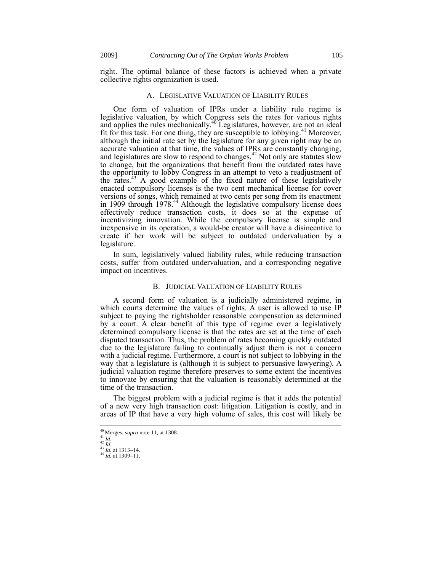right. The optimal balance of these factors is achieved when a private collective rights organization is used.

#### A. LEGISLATIVE VALUATION OF LIABILITY RULES

One form of valuation of IPRs under a liability rule regime is legislative valuation, by which Congress sets the rates for various rights and applies the rules mechanically.<sup>40</sup> Legislatures, however, are not an ideal fit for this task. For one thing, they are susceptible to lobbying.<sup>41</sup> Moreover, although the initial rate set by the legislature for any given right may be an accurate valuation at that time, the values of IPRs are constantly changing, and legislatures are slow to respond to changes.<sup>42</sup> Not only are statutes slow to change, but the organizations that benefit from the outdated rates have the opportunity to lobby Congress in an attempt to veto a readjustment of the rates.<sup>43</sup> A good example of the fixed nature of these legislatively enacted compulsory licenses is the two cent mechanical license for cover versions of songs, which remained at two cents per song from its enactment in 1909 through 1978.<sup>44</sup> Although the legislative compulsory license does effectively reduce transaction costs, it does so at the expense of incentivizing innovation. While the compulsory license is simple and inexpensive in its operation, a would-be creator will have a disincentive to create if her work will be subject to outdated undervaluation by a legislature.

In sum, legislatively valued liability rules, while reducing transaction costs, suffer from outdated undervaluation, and a corresponding negative impact on incentives.

#### B. JUDICIAL VALUATION OF LIABILITY RULES

A second form of valuation is a judicially administered regime, in which courts determine the values of rights. A user is allowed to use IP subject to paying the rightsholder reasonable compensation as determined by a court. A clear benefit of this type of regime over a legislatively determined compulsory license is that the rates are set at the time of each disputed transaction. Thus, the problem of rates becoming quickly outdated due to the legislature failing to continually adjust them is not a concern with a judicial regime. Furthermore, a court is not subject to lobbying in the way that a legislature is (although it is subject to persuasive lawyering). A judicial valuation regime therefore preserves to some extent the incentives to innovate by ensuring that the valuation is reasonably determined at the time of the transaction.

The biggest problem with a judicial regime is that it adds the potential of a new very high transaction cost: litigation. Litigation is costly, and in areas of IP that have a very high volume of sales, this cost will likely be

-

<sup>40</sup> Merges, *supra* not[e 11,](#page-2-0) at 1308.

<sup>41</sup> *Id.*  $^{42}\dot{I}d.$ 

<sup>43</sup> *Id.* at 1313–14. <sup>44</sup> *Id.* at 1309–11.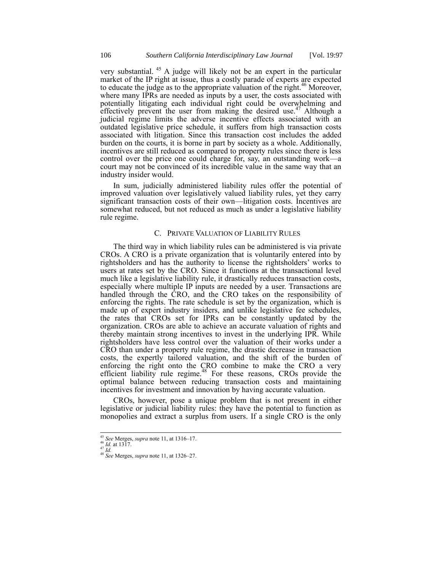very substantial. <sup>45</sup> A judge will likely not be an expert in the particular market of the IP right at issue, thus a costly parade of experts are expected to educate the judge as to the appropriate valuation of the right.<sup>46</sup> Moreover, where many IPRs are needed as inputs by a user, the costs associated with potentially litigating each individual right could be overwhelming and effectively prevent the user from making the desired use.<sup>47</sup> Although a judicial regime limits the adverse incentive effects associated with an outdated legislative price schedule, it suffers from high transaction costs associated with litigation. Since this transaction cost includes the added burden on the courts, it is borne in part by society as a whole. Additionally, incentives are still reduced as compared to property rules since there is less control over the price one could charge for, say, an outstanding work—a court may not be convinced of its incredible value in the same way that an industry insider would.

In sum, judicially administered liability rules offer the potential of improved valuation over legislatively valued liability rules, yet they carry significant transaction costs of their own—litigation costs. Incentives are somewhat reduced, but not reduced as much as under a legislative liability rule regime.

## C. PRIVATE VALUATION OF LIABILITY RULES

The third way in which liability rules can be administered is via private CROs. A CRO is a private organization that is voluntarily entered into by rightsholders and has the authority to license the rightsholders' works to users at rates set by the CRO. Since it functions at the transactional level much like a legislative liability rule, it drastically reduces transaction costs, especially where multiple IP inputs are needed by a user. Transactions are handled through the CRO, and the CRO takes on the responsibility of enforcing the rights. The rate schedule is set by the organization, which is made up of expert industry insiders, and unlike legislative fee schedules, the rates that CROs set for IPRs can be constantly updated by the organization. CROs are able to achieve an accurate valuation of rights and thereby maintain strong incentives to invest in the underlying IPR. While rightsholders have less control over the valuation of their works under a CRO than under a property rule regime, the drastic decrease in transaction costs, the expertly tailored valuation, and the shift of the burden of enforcing the right onto the CRO combine to make the CRO a very efficient liability rule regime.<sup>48</sup> For these reasons, CROs provide the optimal balance between reducing transaction costs and maintaining incentives for investment and innovation by having accurate valuation.

CROs, however, pose a unique problem that is not present in either legislative or judicial liability rules: they have the potential to function as monopolies and extract a surplus from users. If a single CRO is the only

 $\overline{\phantom{a}}$ 

<sup>45</sup> *See* Merges, *supra* note [11,](#page-2-0) at 1316–17. <sup>46</sup> *Id.* at 1317.

<sup>47</sup> *Id.*

<sup>48</sup> *See* Merges, *supra* note [11,](#page-2-0) at 1326–27.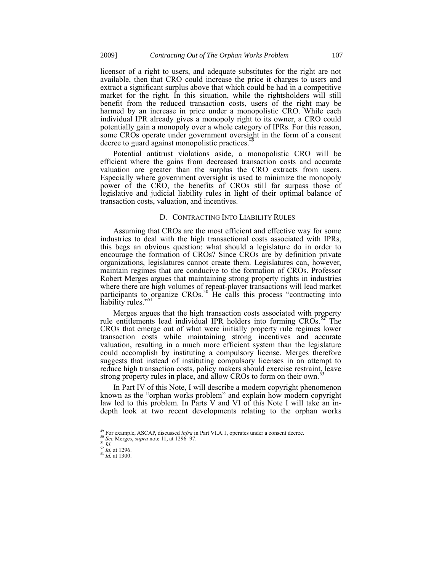licensor of a right to users, and adequate substitutes for the right are not available, then that CRO could increase the price it charges to users and extract a significant surplus above that which could be had in a competitive market for the right. In this situation, while the rightsholders will still benefit from the reduced transaction costs, users of the right may be harmed by an increase in price under a monopolistic CRO. While each individual IPR already gives a monopoly right to its owner, a CRO could potentially gain a monopoly over a whole category of IPRs. For this reason, some CROs operate under government oversight in the form of a consent decree to guard against monopolistic practices.<sup>49</sup>

Potential antitrust violations aside, a monopolistic CRO will be efficient where the gains from decreased transaction costs and accurate valuation are greater than the surplus the CRO extracts from users. Especially where government oversight is used to minimize the monopoly power of the CRO, the benefits of CROs still far surpass those of legislative and judicial liability rules in light of their optimal balance of transaction costs, valuation, and incentives.

#### D. CONTRACTING INTO LIABILITY RULES

Assuming that CROs are the most efficient and effective way for some industries to deal with the high transactional costs associated with IPRs, this begs an obvious question: what should a legislature do in order to encourage the formation of CROs? Since CROs are by definition private organizations, legislatures cannot create them. Legislatures can, however, maintain regimes that are conducive to the formation of CROs. Professor Robert Merges argues that maintaining strong property rights in industries where there are high volumes of repeat-player transactions will lead market participants to organize CROs.<sup>50</sup> He calls this process "contracting into liability rules."

Merges argues that the high transaction costs associated with property rule entitlements lead individual IPR holders into forming  $CROs<sub>1</sub><sup>52</sup>$  The CROs that emerge out of what were initially property rule regimes lower transaction costs while maintaining strong incentives and accurate valuation, resulting in a much more efficient system than the legislature could accomplish by instituting a compulsory license. Merges therefore suggests that instead of instituting compulsory licenses in an attempt to reduce high transaction costs, policy makers should exercise restraint, leave strong property rules in place, and allow CROs to form on their own.<sup>53</sup>

In Part IV of this Note, I will describe a modern copyright phenomenon known as the "orphan works problem" and explain how modern copyright law led to this problem. In Parts V and VI of this Note I will take an indepth look at two recent developments relating to the orphan works

<sup>49</sup> For example, ASCAP, discussed *infra* in Part VI.A.1, operates under a consent decree.

<sup>50</sup> *See* Merges, *supra* note [11,](#page-2-0) at 1296–97.  $^{51}$  *Id.* 

<sup>52</sup> *Id.* at 1296. <sup>53</sup> *Id.* at 1300.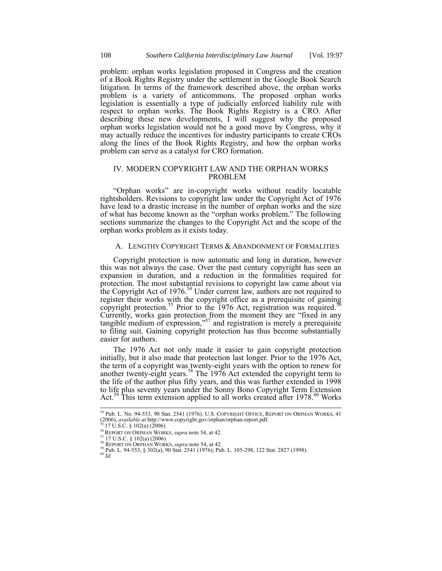problem: orphan works legislation proposed in Congress and the creation of a Book Rights Registry under the settlement in the Google Book Search litigation. In terms of the framework described above, the orphan works problem is a variety of anticommons. The proposed orphan works legislation is essentially a type of judicially enforced liability rule with respect to orphan works. The Book Rights Registry is a CRO. After describing these new developments, I will suggest why the proposed orphan works legislation would not be a good move by Congress, why it may actually reduce the incentives for industry participants to create CROs along the lines of the Book Rights Registry, and how the orphan works problem can serve as a catalyst for CRO formation.

# IV. MODERN COPYRIGHT LAW AND THE ORPHAN WORKS PROBLEM

"Orphan works" are in-copyright works without readily locatable rightsholders. Revisions to copyright law under the Copyright Act of 1976 have lead to a drastic increase in the number of orphan works and the size of what has become known as the "orphan works problem." The following sections summarize the changes to the Copyright Act and the scope of the orphan works problem as it exists today.

# <span id="page-11-0"></span>A. LENGTHY COPYRIGHT TERMS & ABANDONMENT OF FORMALITIES

Copyright protection is now automatic and long in duration, however this was not always the case. Over the past century copyright has seen an expansion in duration, and a reduction in the formalities required for protection. The most substantial revisions to copyright law came about via the Copyright Act of 1976.<sup>54</sup> Under current law, authors are not required to register their works with the copyright office as a prerequisite of gaining copyright protection.<sup>55</sup> Prior to the 1976 Act, registration was required.<sup>56</sup> Currently, works gain protection from the moment they are "fixed in any tangible medium of expression," <sup>57</sup> and registration is merely a prerequisite to filing suit. Gaining copyright protection has thus become substantially easier for authors.

The 1976 Act not only made it easier to gain copyright protection initially, but it also made that protection last longer. Prior to the 1976 Act, the term of a copyright was twenty-eight years with the option to renew for another twenty-eight years.<sup>58</sup> The 1976 Act extended the copyright term to the life of the author plus fifty years, and this was further extended in 1998 to life plus seventy years under the Sonny Bono Copyright Term Extension Act.<sup>59</sup> This term extension applied to all works created after 1978.<sup>60</sup> Works

-

<sup>54</sup> Pub. L. No. 94-553, 90 Stat. 2541 (1976). U.S. COPYRIGHT OFFICE, REPORT ON ORPHAN WORKS, 41 (2006), *available at* http://www.copyright.gov/orphan/orphan-report.pdf. <sup>55</sup> 17 U.S.C. § 102(a) (2006).

<sup>56</sup>REPORT ON ORPHAN WORKS, *supra* note [54,](#page-11-0) at 42.

<sup>57</sup> 17 U.S.C. § 102(a) (2006). <sup>58</sup> REPORT ON ORPHAN WORKS, *supra* note [54,](#page-11-0) at 42.

<sup>59</sup> Pub. L. 94-553, § 302(a), 90 Stat. 2541 (1976); Pub. L. 105-298, 122 Stat. 2827 (1998). <sup>60</sup> *Id.*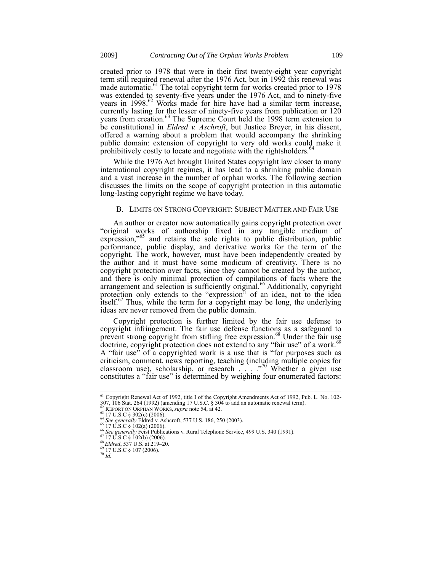created prior to 1978 that were in their first twenty-eight year copyright term still required renewal after the 1976 Act, but in 1992 this renewal was made automatic.<sup>61</sup> The total copyright term for works created prior to  $1978$ was extended to seventy-five years under the 1976 Act, and to ninety-five years in 1998.<sup>62</sup> Works made for hire have had a similar term increase, currently lasting for the lesser of ninety-five years from publication or 120 years from creation.<sup>63</sup> The Supreme Court held the 1998 term extension to be constitutional in *Eldred v. Aschroft*, but Justice Breyer, in his dissent, offered a warning about a problem that would accompany the shrinking public domain: extension of copyright to very old works could make it prohibitively costly to locate and negotiate with the rightsholders.<sup>6</sup>

While the 1976 Act brought United States copyright law closer to many international copyright regimes, it has lead to a shrinking public domain and a vast increase in the number of orphan works. The following section discusses the limits on the scope of copyright protection in this automatic long-lasting copyright regime we have today.

## B. LIMITS ON STRONG COPYRIGHT: SUBJECT MATTER AND FAIR USE

An author or creator now automatically gains copyright protection over "original works of authorship fixed in any tangible medium of expression,<sup>765</sup> and retains the sole rights to public distribution, public performance, public display, and derivative works for the term of the copyright. The work, however, must have been independently created by the author and it must have some modicum of creativity. There is no copyright protection over facts, since they cannot be created by the author, and there is only minimal protection of compilations of facts where the arrangement and selection is sufficiently original.<sup>66</sup> Additionally, copyright protection only extends to the "expression" of an idea, not to the idea itself.<sup>67</sup> Thus, while the term for a copyright may be long, the underlying ideas are never removed from the public domain.

Copyright protection is further limited by the fair use defense to copyright infringement. The fair use defense functions as a safeguard to prevent strong copyright from stifling free expression.<sup>68</sup> Under the fair use doctrine, copyright protection does not extend to any "fair use" of a work.<sup>69</sup> A "fair use" of a copyrighted work is a use that is "for purposes such as criticism, comment, news reporting, teaching (including multiple copies for classroom use), scholarship, or research  $\cdots$   $\frac{1}{20}$  Whether a given use constitutes a "fair use" is determined by weighing four enumerated factors:

 $\overline{\phantom{a}}$ 

<sup>&</sup>lt;sup>61</sup> Copyright Renewal Act of 1992, title I of the Copyright Amendments Act of 1992, Pub. L. No. 102-307, 106 Stat. 264 (1992) (amending 17 U.S.C. § 304 to add an automatic renewal term).

<sup>62</sup> REPORT ON ORPHAN WORKS, *supra* note 54, at 42.

 $63$  17 U.S.C § 302(c) (2006).

<sup>&</sup>lt;sup>64</sup> *See generally* Eldred v. Ashcroft, 537 U.S. 186, 250 (2003).<br><sup>65</sup> 17 U.S.C § 102(a) (2006).

<sup>66</sup> *See generally* Feist Publications v. Rural Telephone Service, 499 U.S. 340 (1991). <sup>67</sup> 17 U.S.C § 102(b) (2006).

<sup>68</sup> *Eldred*, 537 U.S. at 219–20.

<sup>69</sup> 17 U.S.C § 107 (2006).

<sup>70</sup> *Id.*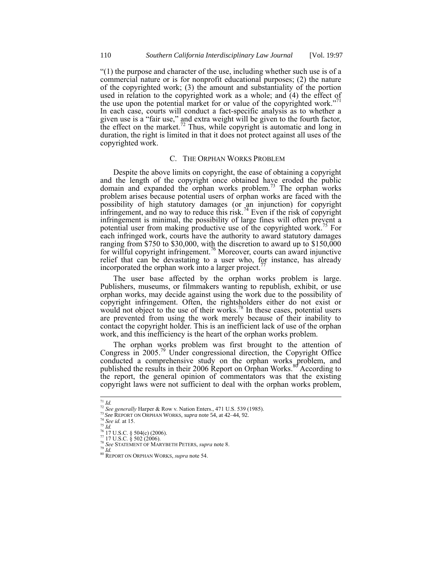"(1) the purpose and character of the use, including whether such use is of a commercial nature or is for nonprofit educational purposes; (2) the nature of the copyrighted work; (3) the amount and substantiality of the portion used in relation to the copyrighted work as a whole; and (4) the effect of the use upon the potential market for or value of the copyrighted work."<sup>71</sup> In each case, courts will conduct a fact-specific analysis as to whether a given use is a "fair use," and extra weight will be given to the fourth factor, the effect on the market.<sup>72</sup> Thus, while copyright is automatic and long in duration, the right is limited in that it does not protect against all uses of the copyrighted work.

### C. THE ORPHAN WORKS PROBLEM

Despite the above limits on copyright, the ease of obtaining a copyright and the length of the copyright once obtained have eroded the public domain and expanded the orphan works problem.<sup>73</sup> The orphan works problem arises because potential users of orphan works are faced with the possibility of high statutory damages (or an injunction) for copyright infringement, and no way to reduce this risk.<sup>74</sup> Even if the risk of copyright infringement is minimal, the possibility of large fines will often prevent a potential user from making productive use of the copyrighted work.<sup>75</sup> For each infringed work, courts have the authority to award statutory damages ranging from \$750 to \$30,000, with the discretion to award up to \$150,000 for willful copyright infringement.<sup>76</sup> Moreover, courts can award injunctive relief that can be devastating to a user who, for instance, has already incorporated the orphan work into a larger project.

The user base affected by the orphan works problem is large. Publishers, museums, or filmmakers wanting to republish, exhibit, or use orphan works, may decide against using the work due to the possibility of copyright infringement. Often, the rightsholders either do not exist or would not object to the use of their works.<sup>78</sup> In these cases, potential users are prevented from using the work merely because of their inability to contact the copyright holder. This is an inefficient lack of use of the orphan work, and this inefficiency is the heart of the orphan works problem.

The orphan works problem was first brought to the attention of Congress in 2005.<sup>79</sup> Under congressional direction, the Copyright Office conducted a comprehensive study on the orphan works problem, and published the results in their 2006 Report on Orphan Works.<sup>80</sup> According to the report, the general opinion of commentators was that the existing copyright laws were not sufficient to deal with the orphan works problem,

- <sup>73</sup> *See* REPORT ON ORPHAN WORKS, *supra* not[e 54,](#page-11-0) at 42–44, 92.
- <sup>74</sup> *See id.* at 15. <sup>75</sup> *Id.*

<sup>1</sup> <sup>71</sup> *Id.*

<sup>72</sup> *See generally* Harper & Row v. Nation Enters., 471 U.S. 539 (1985).

 $\frac{76}{2}$  17 U.S.C. § 504(c) (2006).

<sup>77</sup> 17 U.S.C. § 502 (2006). <sup>78</sup> *See* STATEMENT OF MARYBETH PETERS, *supra* not[e 8.](#page-1-0)

<sup>79</sup> *Id.*

<sup>80</sup> REPORT ON ORPHAN WORKS, *supra* not[e 54.](#page-11-0)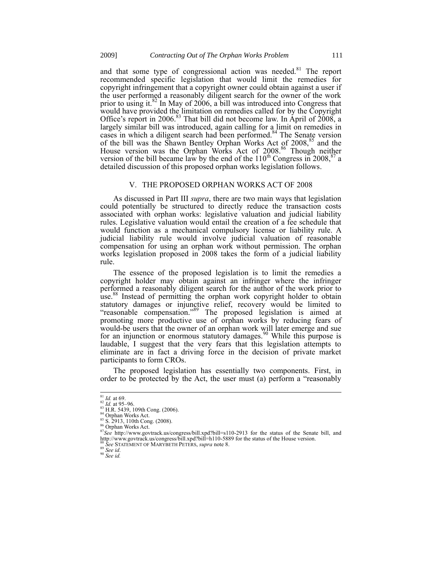and that some type of congressional action was needed.<sup>81</sup> The report recommended specific legislation that would limit the remedies for copyright infringement that a copyright owner could obtain against a user if the user performed a reasonably diligent search for the owner of the work prior to using it.<sup>82</sup> In May of 2006, a bill was introduced into Congress that would have provided the limitation on remedies called for by the Copyright Office's report in 2006.<sup>83</sup> That bill did not become law. In April of 2008, a largely similar bill was introduced, again calling for a limit on remedies in cases in which a diligent search had been performed.<sup>84</sup> The Senate version of the bill was the Shawn Bentley Orphan Works Act of 2008,<sup>85</sup> and the House version was the Orphan Works Act of 2008.<sup>86</sup> Though neither version of the bill became law by the end of the  $110^{th}$  Congress in 2008,<sup>87</sup> a detailed discussion of this proposed orphan works legislation follows.

## V. THE PROPOSED ORPHAN WORKS ACT OF 2008

As discussed in Part III *supra*, there are two main ways that legislation could potentially be structured to directly reduce the transaction costs associated with orphan works: legislative valuation and judicial liability rules. Legislative valuation would entail the creation of a fee schedule that would function as a mechanical compulsory license or liability rule. A judicial liability rule would involve judicial valuation of reasonable compensation for using an orphan work without permission. The orphan works legislation proposed in 2008 takes the form of a judicial liability rule.

The essence of the proposed legislation is to limit the remedies a copyright holder may obtain against an infringer where the infringer performed a reasonably diligent search for the author of the work prior to use.<sup>88</sup> Instead of permitting the orphan work copyright holder to obtain statutory damages or injunctive relief, recovery would be limited to statutory damages of injunctive refers, receiver, we can be alleged at "reasonable compensation."<sup>89</sup> The proposed legislation is aimed at promoting more productive use of orphan works by reducing fears of would-be users that the owner of an orphan work will later emerge and sue for an injunction or enormous statutory damages.<sup>90</sup> While this purpose is laudable, I suggest that the very fears that this legislation attempts to eliminate are in fact a driving force in the decision of private market participants to form CROs.

The proposed legislation has essentially two components. First, in order to be protected by the Act, the user must (a) perform a "reasonably

1

<sup>90</sup> *See id.*

 $\frac{81}{1}$ *Id.* at 69.

<sup>82</sup> *Id.* at 95–96. <sup>83</sup> H.R. 5439, 109th Cong. (2006). 84 Orphan Works Act.

<sup>85</sup> S. 2913, 110th Cong. (2008). <sup>86</sup> Orphan Works Act.

<sup>&</sup>lt;sup>87</sup>See http://www.govtrack.us/congress/bill.xpd?bill=s110-2913 for the status of the Senate bill, and http://www.govtrack.us/congress/bill.xpd?bill=h110-5889 for the status of the House version. <sup>88</sup> *See* STATEMENT OF MARYBETH PETERS, *supra* not[e 8.](#page-1-0)

<sup>89</sup> *See id*.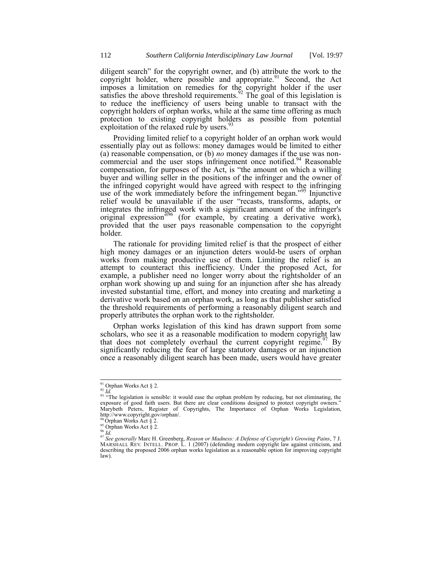diligent search" for the copyright owner, and (b) attribute the work to the copyright holder, where possible and appropriate.<sup>91</sup> Second, the Act imposes a limitation on remedies for the copyright holder if the user satisfies the above threshold requirements.<sup>92</sup> The goal of this legislation is to reduce the inefficiency of users being unable to transact with the copyright holders of orphan works, while at the same time offering as much protection to existing copyright holders as possible from potential exploitation of the relaxed rule by users.<sup>5</sup>

Providing limited relief to a copyright holder of an orphan work would essentially play out as follows: money damages would be limited to either (a) reasonable compensation, or (b) *no* money damages if the use was noncommercial and the user stops infringement once notified.<sup>94</sup> Reasonable compensation, for purposes of the Act, is "the amount on which a willing buyer and willing seller in the positions of the infringer and the owner of the infringed copyright would have agreed with respect to the infringing use of the work immediately before the infringement began."<sup>95</sup> Injunctive relief would be unavailable if the user "recasts, transforms, adapts, or integrates the infringed work with a significant amount of the infringer's original expression<sup>396</sup> (for example, by creating a derivative work), provided that the user pays reasonable compensation to the copyright holder.

The rationale for providing limited relief is that the prospect of either high money damages or an injunction deters would-be users of orphan works from making productive use of them. Limiting the relief is an attempt to counteract this inefficiency. Under the proposed Act, for example, a publisher need no longer worry about the rightsholder of an orphan work showing up and suing for an injunction after she has already invested substantial time, effort, and money into creating and marketing a derivative work based on an orphan work, as long as that publisher satisfied the threshold requirements of performing a reasonably diligent search and properly attributes the orphan work to the rightsholder.

Orphan works legislation of this kind has drawn support from some scholars, who see it as a reasonable modification to modern copyright law that does not completely overhaul the current copyright regime.<sup>97</sup> By significantly reducing the fear of large statutory damages or an injunction once a reasonably diligent search has been made, users would have greater

 $\frac{91}{2}$  Orphan Works Act § 2.

<sup>1</sup> <sup>92</sup> *Id.*

<sup>&</sup>lt;sup>93</sup> "The legislation is sensible: it would ease the orphan problem by reducing, but not eliminating, the exposure of good faith users. But there are clear conditions designed to protect copyright owners." Marybeth Peters, Register of Copyrights, The Importance of Orphan Works Legislation, http://www.copyright.gov/orphan/.

 $94$  Orphan Works Act § 2.

<sup>95</sup> Orphan Works Act § 2.

<sup>96</sup> *Id.*

<sup>&</sup>lt;sup>97</sup> See generally Marc H. Greenberg, *Reason or Madness: A Defense of Copyright's Growing Pains*, 7 J.<br>MARSHALL REV. INTELL. PROP. L. 1 (2007) (defending modern copyright law against criticism, and describing the proposed 2006 orphan works legislation as a reasonable option for improving copyright law).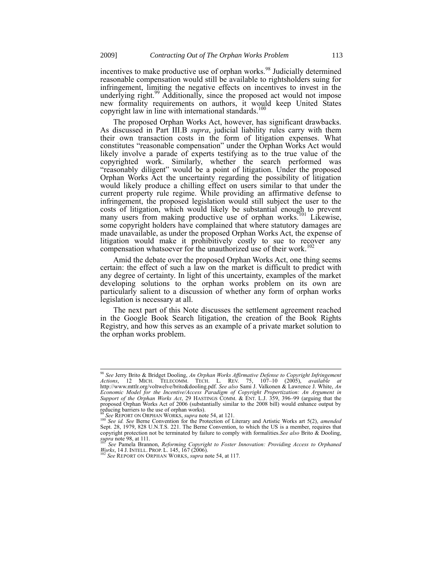<span id="page-16-0"></span>incentives to make productive use of orphan works.<sup>98</sup> Judicially determined reasonable compensation would still be available to rightsholders suing for infringement, limiting the negative effects on incentives to invest in the in imagement, maning the negative energy of meeting to invest in the underlying right.<sup>99</sup> Additionally, since the proposed act would not impose new formality requirements on authors, it would keep United States copyright law in line with international standards. $100$ 

The proposed Orphan Works Act, however, has significant drawbacks. As discussed in Part III.B *supra*, judicial liability rules carry with them their own transaction costs in the form of litigation expenses. What constitutes "reasonable compensation" under the Orphan Works Act would likely involve a parade of experts testifying as to the true value of the copyrighted work. Similarly, whether the search performed was "reasonably diligent" would be a point of litigation. Under the proposed Orphan Works Act the uncertainty regarding the possibility of litigation would likely produce a chilling effect on users similar to that under the current property rule regime. While providing an affirmative defense to infringement, the proposed legislation would still subject the user to the costs of litigation, which would likely be substantial enough to prevent many users from making productive use of orphan works.<sup>101</sup> Likewise, some copyright holders have complained that where statutory damages are made unavailable, as under the proposed Orphan Works Act, the expense of litigation would make it prohibitively costly to sue to recover any compensation whatsoever for the unauthorized use of their work.<sup>102</sup>

Amid the debate over the proposed Orphan Works Act, one thing seems certain: the effect of such a law on the market is difficult to predict with any degree of certainty. In light of this uncertainty, examples of the market developing solutions to the orphan works problem on its own are particularly salient to a discussion of whether any form of orphan works legislation is necessary at all.

The next part of this Note discusses the settlement agreement reached in the Google Book Search litigation, the creation of the Book Rights Registry, and how this serves as an example of a private market solution to the orphan works problem.

 $\overline{1}$ 

<sup>98</sup> *See* Jerry Brito & Bridget Dooling, *An Orphan Works Affirmative Defense to Copyright Infringement*  Actions, 12 MICH. TELECOMM. TECH. L. REV. 75, 107–10 (2005), available at<br>http://www.mttlr.org/voltwelve/brito&dooling.pdf. See also Sami J. Valkonen & Lawrence J. White, An<br>Economic Model for the Incentive/Access Paradigm *Support of the Orphan Works Act*, 29 HASTINGS COMM. & ENT. L.J. 359, 396–99 (arguing that the proposed Orphan Works Act of 2006 (substantially similar to the 2008 bill) would enhance output by reducing barriers to the use of orphan works).

<sup>&</sup>lt;sup>99</sup> See REPORT ON ORPHAN WORKS, *supra* not[e 54,](#page-11-0) at 121.<br><sup>100</sup> See id. See Berne Convention for the Protection of Literary and Artistic Works art 5(2), *amended*<br>Sept. 28, 1979, 828 U.N.T.S. 221. The Berne Convention, to copyright protection not be terminated by failure to comply with formalities.*See also* Brito & Dooling, *supra* note [98,](#page-16-0) at 111.

<sup>101</sup> *See* Pamela Brannon, *Reforming Copyright to Foster Innovation: Providing Access to Orphaned Works*, 14 J. INTELL. PROP. L. 145, 167 (2006). <sup>102</sup> *See* REPORT ON ORPHAN WORKS, *supra* not[e 54,](#page-11-0) at 117.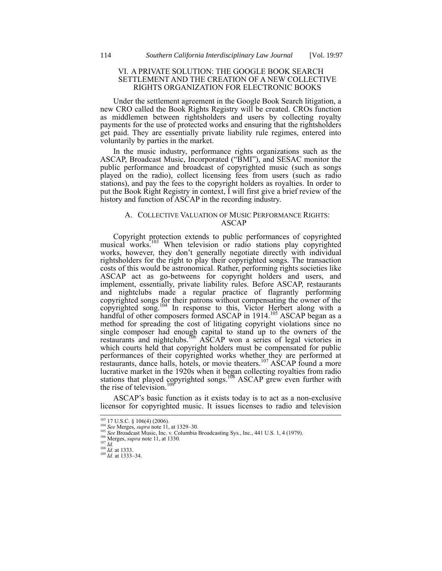## VI. A PRIVATE SOLUTION: THE GOOGLE BOOK SEARCH SETTLEMENT AND THE CREATION OF A NEW COLLECTIVE RIGHTS ORGANIZATION FOR ELECTRONIC BOOKS

Under the settlement agreement in the Google Book Search litigation, a new CRO called the Book Rights Registry will be created. CROs function as middlemen between rightsholders and users by collecting royalty payments for the use of protected works and ensuring that the rightsholders get paid. They are essentially private liability rule regimes, entered into voluntarily by parties in the market.

In the music industry, performance rights organizations such as the ASCAP, Broadcast Music, Incorporated ("BMI"), and SESAC monitor the public performance and broadcast of copyrighted music (such as songs played on the radio), collect licensing fees from users (such as radio stations), and pay the fees to the copyright holders as royalties. In order to put the Book Right Registry in context, I will first give a brief review of the history and function of ASCAP in the recording industry.

## A. COLLECTIVE VALUATION OF MUSIC PERFORMANCE RIGHTS: ASCAP

Copyright protection extends to public performances of copyrighted musical works.<sup>103</sup> When television or radio stations play copyrighted works, however, they don't generally negotiate directly with individual rightsholders for the right to play their copyrighted songs. The transaction costs of this would be astronomical. Rather, performing rights societies like ASCAP act as go-betweens for copyright holders and users, and implement, essentially, private liability rules. Before ASCAP, restaurants and nightclubs made a regular practice of flagrantly performing copyrighted songs for their patrons without compensating the owner of the copyrighted song.<sup>104</sup> In response to this, Victor Herbert along with a handful of other composers formed ASCAP in 1914.<sup>105</sup> ASCAP began as a method for spreading the cost of litigating copyright violations since no single composer had enough capital to stand up to the owners of the restaurants and nightclubs.<sup>106</sup> ASCAP won a series of legal victories in which courts held that copyright holders must be compensated for public performances of their copyrighted works whether they are performed at restaurants, dance halls, hotels, or movie theaters.<sup>107</sup> ASCAP found a more lucrative market in the 1920s when it began collecting royalties from radio stations that played copyrighted songs.<sup>108</sup> ASCAP grew even further with the rise of television. $109$ 

ASCAP's basic function as it exists today is to act as a non-exclusive licensor for copyrighted music. It issues licenses to radio and television

 $\overline{\phantom{a}}$ 

<sup>103</sup> 17 U.S.C. § 106(4) (2006). <sup>104</sup> *See* Merges, *supra* not[e 11,](#page-2-0) at 1329–30.

<sup>105</sup> *See* Broadcast Music, Inc. v. Columbia Broadcasting Sys., Inc., 441 U.S. 1, 4 (1979).

<sup>&</sup>lt;sup>106</sup> Merges, *supra* not[e 11,](#page-2-0) at 1330.  $107 \frac{1}{1}$ 

<sup>108</sup> *Id.* at 1333. <sup>109</sup> *Id.* at 1333–34.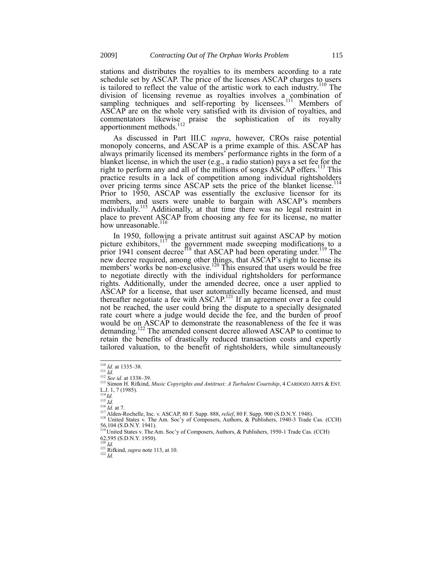stations and distributes the royalties to its members according to a rate schedule set by ASCAP. The price of the licenses ASCAP charges to users is tailored to reflect the value of the artistic work to each industry.<sup>110</sup> The division of licensing revenue as royalties involves a combination of sampling techniques and self-reporting by licensees.<sup>111</sup> Members of ASCAP are on the whole very satisfied with its division of royalties, and commentators likewise praise the sophistication of its royalty apportionment methods.<sup>112</sup>

<span id="page-18-0"></span>As discussed in Part III.C *supra*, however, CROs raise potential monopoly concerns, and ASCAP is a prime example of this. ASCAP has always primarily licensed its members' performance rights in the form of a blanket license, in which the user (e.g., a radio station) pays a set fee for the right to perform any and all of the millions of songs ASCAP offers.<sup>113</sup> This practice results in a lack of competition among individual rightsholders over pricing terms since ASCAP sets the price of the blanket license.<sup>114</sup> Prior to 1950, ASCAP was essentially the exclusive licensor for its members, and users were unable to bargain with ASCAP's members individually.<sup>115</sup> Additionally, at that time there was no legal restraint in place to prevent ASCAP from choosing any fee for its license, no matter how unreasonable.<sup>116</sup>

In 1950, following a private antitrust suit against ASCAP by motion picture exhibitors,  $117$  the government made sweeping modifications to a prior 1941 consent decree<sup>118</sup> that ASCAP had been operating under.<sup>119</sup> The new decree required, among other things, that ASCAP's right to license its members' works be non-exclusive.<sup>120</sup> This ensured that users would be free to negotiate directly with the individual rightsholders for performance rights. Additionally, under the amended decree, once a user applied to ASCAP for a license, that user automatically became licensed, and must thereafter negotiate a fee with ASCAP.<sup>121</sup> If an agreement over a fee could not be reached, the user could bring the dispute to a specially designated rate court where a judge would decide the fee, and the burden of proof would be on ASCAP to demonstrate the reasonableness of the fee it was demanding.<sup>122</sup> The amended consent decree allowed ASCAP to continue to retain the benefits of drastically reduced transaction costs and expertly tailored valuation, to the benefit of rightsholders, while simultaneously

 $^{114}$  *Id.* 

 $\overline{\phantom{a}}$ 

 $\frac{120}{120}$  *Id.* 

<sup>110</sup> *Id.* at 1335–38. <sup>111</sup> *Id.*

<sup>112</sup> *See id.* at 1338–39.

<sup>113</sup> Simon H. Rifkind, *Music Copyrights and Antitrust: A Turbulent Courtship*, 4 CARDOZO ARTS & ENT. L.J. 1, 7 (1985).

<sup>115</sup> *Id.* <sup>116</sup> *Id.* at 7.

<sup>&</sup>lt;sup>117</sup> Alden-Rochelle, Inc. v. ASCAP, 80 F. Supp. 888, *relief*, 80 F. Supp. 900 (S.D.N.Y. 1948).<br><sup>118</sup> United States v. The Am. Soc'y of Composers, Authors, & Publishers, 1940-3 Trade Cas. (CCH)<br>56,104 (S.D.N.Y. 1941).<br><sup>11</sup>

<sup>62,595 (</sup>S.D.N.Y. 1950).

<sup>&</sup>lt;sup>121</sup> Rifkind, *supra* note 113, at 10.<br><sup>122</sup> *Id.*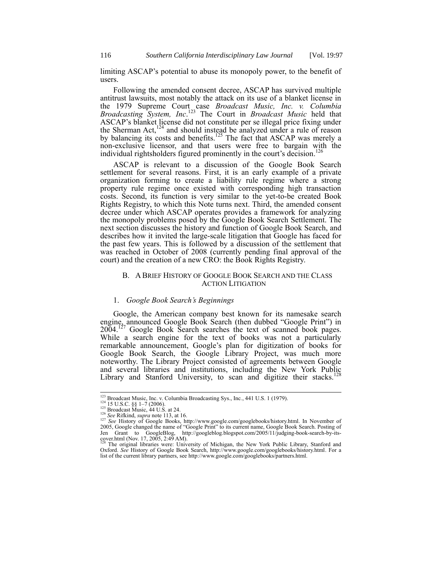limiting ASCAP's potential to abuse its monopoly power, to the benefit of users.

Following the amended consent decree, ASCAP has survived multiple antitrust lawsuits, most notably the attack on its use of a blanket license in the 1979 Supreme Court case *Broadcast Music, Inc. v. Columbia Broadcasting System, Inc*. <sup>123</sup> The Court in *Broadcast Music* held that ASCAP's blanket license did not constitute per se illegal price fixing under the Sherman Act, $124$  and should instead be analyzed under a rule of reason by balancing its costs and benefits.<sup>125</sup> The fact that ASCAP was merely a non-exclusive licensor, and that users were free to bargain with the individual rightsholders figured prominently in the court's decision.<sup>126</sup>

ASCAP is relevant to a discussion of the Google Book Search settlement for several reasons. First, it is an early example of a private organization forming to create a liability rule regime where a strong property rule regime once existed with corresponding high transaction costs. Second, its function is very similar to the yet-to-be created Book Rights Registry, to which this Note turns next. Third, the amended consent decree under which ASCAP operates provides a framework for analyzing the monopoly problems posed by the Google Book Search Settlement. The next section discusses the history and function of Google Book Search, and describes how it invited the large-scale litigation that Google has faced for the past few years. This is followed by a discussion of the settlement that was reached in October of 2008 (currently pending final approval of the court) and the creation of a new CRO: the Book Rights Registry.

#### B. A BRIEF HISTORY OF GOOGLE BOOK SEARCH AND THE CLASS ACTION LITIGATION

# 1. *Google Book Search's Beginnings*

Google, the American company best known for its namesake search engine, announced Google Book Search (then dubbed "Google Print") in  $2004$ .<sup>127</sup> Google Book Search searches the text of scanned book pages. While a search engine for the text of books was not a particularly remarkable announcement, Google's plan for digitization of books for Google Book Search, the Google Library Project, was much more noteworthy. The Library Project consisted of agreements between Google and several libraries and institutions, including the New York Public<br>and several libraries and institutions, including the New York Public Library and Stanford University, to scan and digitize their stacks.<sup>1</sup>

<sup>123</sup> Broadcast Music, Inc. v. Columbia Broadcasting Sys., Inc*.*, 441 U.S. 1 (1979).

<sup>&</sup>lt;sup>124</sup> 15 U.S.C. §§ 1–7 (2006).<br><sup>125</sup> Broadcast Music, 44 U.S. at 24.

<sup>&</sup>lt;sup>126</sup> See Rifkind, *supra* not[e 113,](#page-18-0) at 16.<br><sup>127</sup> See History of Google Books, http://www.google.com/googlebooks/history.html. In November of<br>2005, Google changed the name of "Google Print" to its current name, Google Book Jen Grant to GoogleBlog, http://googleblog.blogspot.com/2005/11/judging-book-search-by-its-cover.html (Nov. 17, 2005, 2:49 AM).<br><sup>128</sup> The original libraries were: University of Michigan, the New York Public Library, Stanfo

Oxford. *See* History of Google Book Search, http://www.google.com/googlebooks/history.html. For a list of the current library partners, see http://www.google.com/googlebooks/partners.html.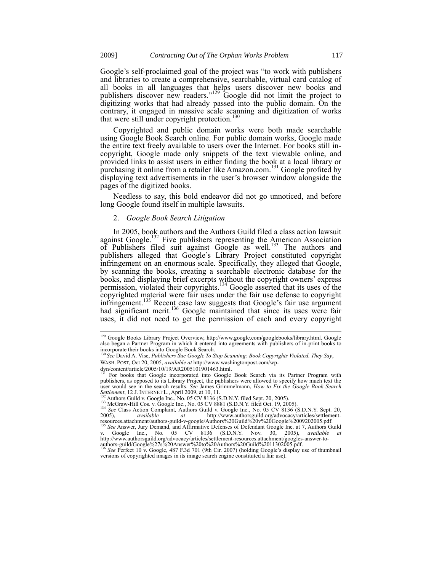Google's self-proclaimed goal of the project was "to work with publishers and libraries to create a comprehensive, searchable, virtual card catalog of all books in all languages that helps users discover new books and publishers discover new readers."<sup>129</sup> Google did not limit the project to digitizing works that had already passed into the public domain. On the contrary, it engaged in massive scale scanning and digitization of works that were still under copyright protection.<sup>130</sup>

Copyrighted and public domain works were both made searchable using Google Book Search online. For public domain works, Google made the entire text freely available to users over the Internet. For books still incopyright, Google made only snippets of the text viewable online, and provided links to assist users in either finding the book at a local library or purchasing it online from a retailer like Amazon.com.<sup>131</sup> Google profited by displaying text advertisements in the user's browser window alongside the pages of the digitized books.

Needless to say, this bold endeavor did not go unnoticed, and before long Google found itself in multiple lawsuits.

# 2. *Google Book Search Litigation*

In 2005, book authors and the Authors Guild filed a class action lawsuit against Google.<sup>132</sup> Five publishers representing the American Association of Publishers filed suit against Google as well.<sup>133</sup> The authors and publishers alleged that Google's Library Project constituted copyright infringement on an enormous scale. Specifically, they alleged that Google, by scanning the books, creating a searchable electronic database for the books, and displaying brief excerpts without the copyright owners' express permission, violated their copyrights.<sup>134</sup> Google asserted that its uses of the copyrighted material were fair uses under the fair use defense to copyright infringement.<sup>135</sup> Recent case law suggests that Google's fair use argument had significant merit.<sup>136</sup> Google maintained that since its uses were fair uses, it did not need to get the permission of each and every copyright

<sup>&</sup>lt;sup>129</sup> Google Books Library Project Overview, http://www.google.com/googlebooks/library.html. Google also began a Partner Program in which it entered into agreements with publishers of in-print books to incorporate their books into Google Book Search. <sup>130</sup> *See* David A. Vise, *Publishers Sue Google To Stop Scanning: Book Copyrights Violated, They Say*,

WASH. POST, Oct 20, 2005, *available at* http://www.washingtonpost.com/wp-

dyn/content/article/2005/10/19/AR2005101901463.html. <sup>131</sup> For books that Google incorporated into Google Book Search via its Partner Program with publishers, as opposed to its Library Project, the publishers were allowed to specify how much text the user would see in the search results. See James Grimmelmann, *How to Fix the Google Book Search*<br>Settlement, 12 J. INTERNET L., April 2009, at 10, 11.<br><sup>132</sup> Authors Guild v. Google Inc., No. 05 CV 8136 (S.D.N.Y. filed Sept

<sup>&</sup>lt;sup>133</sup> McGraw-Hill Cos. v. Google Inc., No. 05 CV 8881 (S.D.N.Y. filed Oct. 19, 2005).<br><sup>134</sup> *See* Class Action Complaint, Authors Guild v. Google Inc., No. 05 CV 8136 (S.D.N.Y. Sept. 20,

<sup>2005),</sup> *available* at http://www.authorsguild.org/advocacy/articles/settlement-<br>resources.attachment/authors-guild-v-google/Authors%20Guild%20v%20Google%2009202005.pdf.<br><sup>135</sup> See Answer, Jury Demand, and Affirmative Defens

v. Google Inc., No. 05 CV 8136 (S.D.N.Y. Nov. 30, 2005), available at<br>http://www.authorsguild.org/advocacy/articles/settlement-resources.attachment/googles-answer-to-<br>authors-guild/Google%27s%20Answer%20to%20Authors%20Guil

versions of copyrighted images in its image search engine constituted a fair use).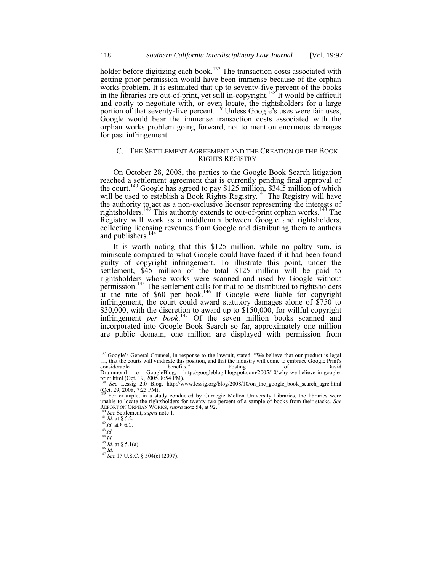holder before digitizing each book.<sup>137</sup> The transaction costs associated with getting prior permission would have been immense because of the orphan works problem. It is estimated that up to seventy-five percent of the books in the libraries are out-of-print, yet still in-copyright.<sup>138</sup> It would be difficult and costly to negotiate with, or even locate, the rightsholders for a large portion of that seventy-five percent.<sup>139</sup> Unless Google's uses were fair uses, Google would bear the immense transaction costs associated with the orphan works problem going forward, not to mention enormous damages for past infringement.

## C. THE SETTLEMENT AGREEMENT AND THE CREATION OF THE BOOK RIGHTS REGISTRY

On October 28, 2008, the parties to the Google Book Search litigation reached a settlement agreement that is currently pending final approval of the court.<sup>140</sup> Google has agreed to pay \$125 million, \$34.5 million of which will be used to establish a Book Rights Registry.<sup>141</sup> The Registry will have the authority to act as a non-exclusive licensor representing the interests of rightsholders.<sup>142</sup> This authority extends to out-of-print orphan works.<sup>143</sup> The Registry will work as a middleman between Google and rightsholders, collecting licensing revenues from Google and distributing them to authors and publishers.<sup>144</sup>

It is worth noting that this \$125 million, while no paltry sum, is miniscule compared to what Google could have faced if it had been found guilty of copyright infringement. To illustrate this point, under the settlement,  $\frac{245}{5}$  million of the total \$125 million will be paid to rightsholders whose works were scanned and used by Google without permission.<sup>145</sup> The settlement calls for that to be distributed to rightsholders at the rate of \$60 per book.<sup>146</sup> If Google were liable for copyright infringement, the court could award statutory damages alone of \$750 to \$30,000, with the discretion to award up to \$150,000, for willful copyright infringement *per book*. <sup>147</sup> Of the seven million books scanned and incorporated into Google Book Search so far, approximately one million are public domain, one million are displayed with permission from

<sup>&</sup>lt;sup>137</sup> Google's General Counsel, in response to the lawsuit, stated, "We believe that our product is legal …, that the courts will vindicate this position, and that the industry will come to embrace Google Print's considerable benefits." Posting of David Drummond to GoogleBlog, http://googleblog.blogspot.com/2005/10/why-we-believe-in-googleprint.html (Oct. 19, 2005, 8:54 PM).

<sup>&</sup>lt;sup>138</sup> See Lessig 2.0 Blog, http://www.lessig.org/blog/2008/10/on\_the\_google\_book\_search\_agre.html (Oct. 29, 2008, 7:25 PM).<br>(Oct. 29, 2008, 7:25 PM).<br><sup>139</sup> For example, in a study conducted by Carnegie Mellon University Li

unable to locate the rightsholders for twenty two percent of a sample of books from their stacks. *See* REPORT ON ORPHAN WORKS, *supra* not[e 54,](#page-11-0) at 92.

<sup>140</sup> *See* Settlement, *supra* note [1.](#page-0-0) <sup>141</sup> *Id.* at § 5.2.

 $^{142}$  *Id.* at § 6.1.

<sup>143</sup> *Id.*

<sup>144</sup> *Id.*  $^{145}$  *Id.* at § 5.1(a).

<sup>146</sup> *Id.*

<sup>147</sup> *See* 17 U.S.C. § 504(c) (2007).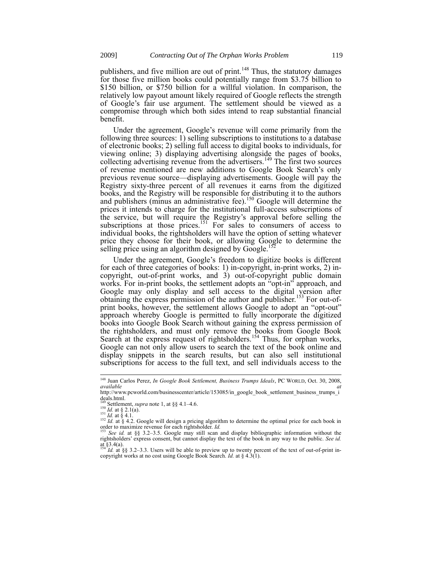publishers, and five million are out of print.<sup>148</sup> Thus, the statutory damages for those five million books could potentially range from \$3.75 billion to \$150 billion, or \$750 billion for a willful violation. In comparison, the relatively low payout amount likely required of Google reflects the strength of Google's fair use argument. The settlement should be viewed as a compromise through which both sides intend to reap substantial financial benefit.

Under the agreement, Google's revenue will come primarily from the following three sources: 1) selling subscriptions to institutions to a database of electronic books; 2) selling full access to digital books to individuals, for viewing online; 3) displaying advertising alongside the pages of books, collecting advertising revenue from the advertisers.<sup>149</sup> The first two sources of revenue mentioned are new additions to Google Book Search's only previous revenue source—displaying advertisements. Google will pay the Registry sixty-three percent of all revenues it earns from the digitized books, and the Registry will be responsible for distributing it to the authors and publishers (minus an administrative fee).<sup>150</sup> Google will determine the prices it intends to charge for the institutional full-access subscriptions of the service, but will require the Registry's approval before selling the subscriptions at those prices.<sup>151</sup> For sales to consumers of access to individual books, the rightsholders will have the option of setting whatever price they choose for their book, or allowing Google to determine the selling price using an algorithm designed by Google.<sup>15</sup>

Under the agreement, Google's freedom to digitize books is different for each of three categories of books: 1) in-copyright, in-print works, 2) incopyright, out-of-print works, and 3) out-of-copyright public domain works. For in-print books, the settlement adopts an "opt-in" approach, and Google may only display and sell access to the digital version after obtaining the express permission of the author and publisher.<sup>153</sup> For out-ofprint books, however, the settlement allows Google to adopt an "opt-out" approach whereby Google is permitted to fully incorporate the digitized books into Google Book Search without gaining the express permission of the rightsholders, and must only remove the books from Google Book Search at the express request of rightsholders.<sup>154</sup> Thus, for orphan works, Google can not only allow users to search the text of the book online and display snippets in the search results, but can also sell institutional subscriptions for access to the full text, and sell individuals access to the

<sup>148</sup> Juan Carlos Perez, *In Google Book Settlement, Business Trumps Ideals*, PC WORLD, Oct. 30, 2008,

available at<br>
http://www.pcworld.com/businesscenter/article/153085/in\_google\_book\_settlement\_business\_trumps\_i deals.html.

Settlement, *supra* note 1, at §§ 4.1-4.6.

 $^{150}$  *Id.* at § 2.1(a).

<sup>&</sup>lt;sup>151</sup> *Id.* at § 4.1.<br><sup>152</sup> *Id.* at § 4.2. Google will design a pricing algorithm to determine the optimal price for each book in order to maximize revenue for each rightsholder. *Id.* 

<sup>153</sup> *See id.* at §§ 3.2–3.5. Google may still scan and display bibliographic information without the rightsholders' express consent, but cannot display the text of the book in any way to the public. *See id.* at §3.4(a). <sup>154</sup> *Id.* at §§ 3.2–3.3. Users will be able to preview up to twenty percent of the text of out-of-print in-

copyright works at no cost using Google Book Search. *Id.* at § 4.3(1).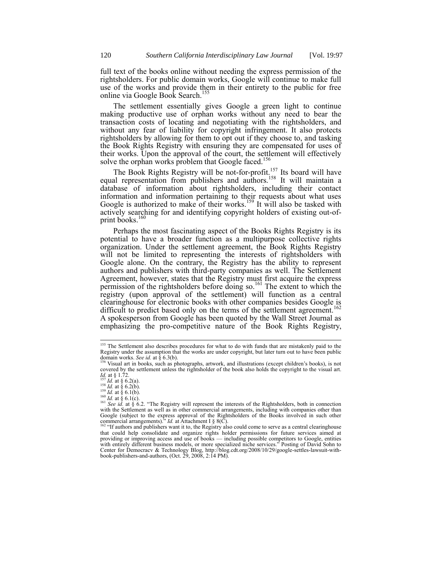full text of the books online without needing the express permission of the rightsholders. For public domain works, Google will continue to make full use of the works and provide them in their entirety to the public for free online via Google Book Search.<sup>155</sup>

The settlement essentially gives Google a green light to continue making productive use of orphan works without any need to bear the transaction costs of locating and negotiating with the rightsholders, and without any fear of liability for copyright infringement. It also protects rightsholders by allowing for them to opt out if they choose to, and tasking the Book Rights Registry with ensuring they are compensated for uses of their works. Upon the approval of the court, the settlement will effectively solve the orphan works problem that Google faced.<sup>156</sup>

The Book Rights Registry will be not-for-profit.<sup>157</sup> Its board will have equal representation from publishers and authors.<sup>158</sup> It will maintain a database of information about rightsholders, including their contact information and information pertaining to their requests about what uses Google is authorized to make of their works.<sup>159</sup> It will also be tasked with actively searching for and identifying copyright holders of existing out-ofprint books.<sup>160</sup>

Perhaps the most fascinating aspect of the Books Rights Registry is its potential to have a broader function as a multipurpose collective rights organization. Under the settlement agreement, the Book Rights Registry will not be limited to representing the interests of rightsholders with Google alone. On the contrary, the Registry has the ability to represent authors and publishers with third-party companies as well. The Settlement Agreement, however, states that the Registry must first acquire the express permission of the rightsholders before doing so.<sup>161</sup> The extent to which the registry (upon approval of the settlement) will function as a central clearinghouse for electronic books with other companies besides Google is difficult to predict based only on the terms of the settlement agreement.<sup>162</sup> A spokesperson from Google has been quoted by the Wall Street Journal as emphasizing the pro-competitive nature of the Book Rights Registry,

<sup>&</sup>lt;sup>155</sup> The Settlement also describes procedures for what to do with funds that are mistakenly paid to the Registry under the assumption that the works are under copyright, but later turn out to have been public domain works. *See id.* at § 6.3(b). <sup>156</sup> Visual art in books, such as photographs, artwork, and illustrations (except children's books), is not

covered by the settlement unless the rightsholder of the book also holds the copyright to the visual art. *Id.* at § 1.72.

<sup>&</sup>lt;sup>157</sup> *Id.* at § 6.2(a).<br><sup>158</sup> *Id.* at § 6.2(b).<br><sup>159</sup> *Id.* at § 6.1(b).

<sup>&</sup>lt;sup>160</sup> *Id.* at  $\stackrel{8}{\$}$  6.1(c).<br><sup>161</sup> *See id.* at  $\stackrel{8}{\$}$  6.2. "The Registry will represent the interests of the Rightsholders, both in connection with the Settlement as well as in other commercial arrangements, i Google (subject to the express approval of the Rightsholders of the Books involved in such other commercial arrangements)." *Id.* at Attachment I § 8(C).<br><sup>162</sup> "If authors and publishers want it to, the Registry also coul

that could help consolidate and organize rights holder permissions for future services aimed at providing or improving access and use of books — including possible competitors to Google, entities with entirely different business models, or more specialized niche services." Posting of David Sohn to Center for Democracv & Technology Blog, http://blog.cdt.org/2008/10/29/google-settles-lawsuit-with-book-publishers-and-authors, (Oct. 29, 2008, 2:14 PM).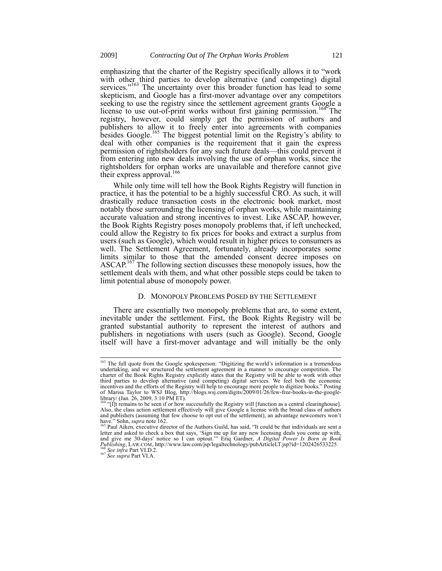emphasizing that the charter of the Registry specifically allows it to "work with other third parties to develop alternative (and competing) digital services."<sup>163</sup> The uncertainty over this broader function has lead to some skepticism, and Google has a first-mover advantage over any competitors seeking to use the registry since the settlement agreement grants Google a license to use out-of-print works without first gaining permission.<sup>164</sup> The registry, however, could simply get the permission of authors and publishers to allow it to freely enter into agreements with companies besides Google.<sup>165</sup> The biggest potential limit on the Registry's ability to deal with other companies is the requirement that it gain the express permission of rightsholders for any such future deals—this could prevent it from entering into new deals involving the use of orphan works, since the rightsholders for orphan works are unavailable and therefore cannot give their express approval.<sup>166</sup>

While only time will tell how the Book Rights Registry will function in practice, it has the potential to be a highly successful CRO. As such, it will drastically reduce transaction costs in the electronic book market, most notably those surrounding the licensing of orphan works, while maintaining accurate valuation and strong incentives to invest. Like ASCAP, however, the Book Rights Registry poses monopoly problems that, if left unchecked, could allow the Registry to fix prices for books and extract a surplus from users (such as Google), which would result in higher prices to consumers as well. The Settlement Agreement, fortunately, already incorporates some limits similar to those that the amended consent decree imposes on ASCAP.<sup>167</sup> The following section discusses these monopoly issues, how the settlement deals with them, and what other possible steps could be taken to limit potential abuse of monopoly power.

#### D. MONOPOLY PROBLEMS POSED BY THE SETTLEMENT

There are essentially two monopoly problems that are, to some extent, inevitable under the settlement. First, the Book Rights Registry will be granted substantial authority to represent the interest of authors and publishers in negotiations with users (such as Google). Second, Google itself will have a first-mover advantage and will initially be the only

<sup>&</sup>lt;sup>163</sup> The full quote from the Google spokesperson: "Digitizing the world's information is a tremendous undertaking, and we structured the settlement agreement in a manner to encourage competition. The charter of the Book Rights Registry explicitly states that the Registry will be able to work with other third parties to develop alternative (and competing) digital services. We feel both the economic incentives and the efforts of the Registry will help to encourage more people to digitize books." Posting of Marisa Taylor to WSJ Blog, http://blogs.wsj.com/digits/2009/01/26/few-free-books-in-the-googlelibrary/ (Jan. 26, 2009, 3:10 PM ET).

<sup>&</sup>lt;sup>164</sup> "[I]t remains to be seen if or how successfully the Registry will [function as a central clearinghouse].<br>Also, the class action settlement effectively will give Google a license with the broad class of authors and publishers (assuming that few choose to opt out of the settlement), an advantage newcomers won't have." Sohn, *supra* note 162.<br><sup>165</sup> Paul Aiken, executive director of the Authors Guild, has said, "It could be that individuals are sent a

letter and asked to check a box that says, 'Sign me up for any new licensing deals you come up with, and give me 30-days' notice so I can optout." Eriq Gardner, A Digital Power Is Born in Book Publishing, LAW.COM, http://w <sup>166</sup> *See infra* Part VI.D.2.

<sup>167</sup> *See supra* Part VI.A.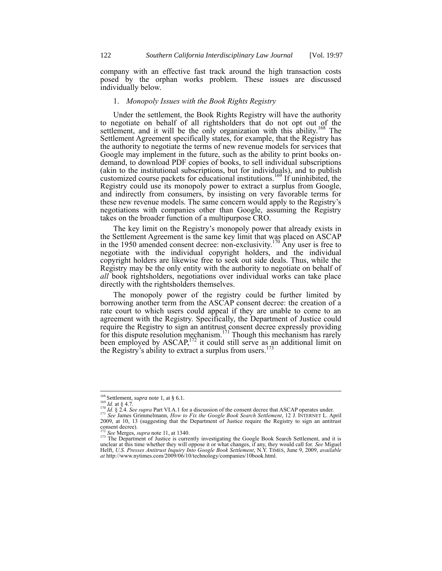company with an effective fast track around the high transaction costs posed by the orphan works problem. These issues are discussed individually below.

#### 1. *Monopoly Issues with the Book Rights Registry*

Under the settlement, the Book Rights Registry will have the authority to negotiate on behalf of all rightsholders that do not opt out of the settlement, and it will be the only organization with this ability.<sup>168</sup> The Settlement Agreement specifically states, for example, that the Registry has the authority to negotiate the terms of new revenue models for services that Google may implement in the future, such as the ability to print books ondemand, to download PDF copies of books, to sell individual subscriptions (akin to the institutional subscriptions, but for individuals), and to publish customized course packets for educational institutions.<sup>169</sup> If uninhibited, the Registry could use its monopoly power to extract a surplus from Google, and indirectly from consumers, by insisting on very favorable terms for these new revenue models. The same concern would apply to the Registry's negotiations with companies other than Google, assuming the Registry takes on the broader function of a multipurpose CRO.

The key limit on the Registry's monopoly power that already exists in the Settlement Agreement is the same key limit that was placed on ASCAP in the 1950 amended consent decree: non-exclusivity.<sup>170</sup> Any user is free to negotiate with the individual copyright holders, and the individual copyright holders are likewise free to seek out side deals. Thus, while the Registry may be the only entity with the authority to negotiate on behalf of *all* book rightsholders, negotiations over individual works can take place directly with the rightsholders themselves.

The monopoly power of the registry could be further limited by borrowing another term from the ASCAP consent decree: the creation of a rate court to which users could appeal if they are unable to come to an agreement with the Registry. Specifically, the Department of Justice could require the Registry to sign an antitrust consent decree expressly providing for this dispute resolution mechanism.<sup>171</sup> Though this mechanism has rarely been employed by  $\text{ASCAP}$ ,  $^{172}$  it could still serve as an additional limit on the Registry's ability to extract a surplus from users.<sup>173</sup>

-

<sup>168</sup> Settlement, *supra* note 1, at § 6.1.

<sup>&</sup>lt;sup>169</sup> *Id.* at § 4.7.<br><sup>170</sup> *Id.* § 2.4. *See supra* Part VI.A.1 for a discussion of the consent decree that ASCAP operates under. <sup>171</sup> *See* James Grimmelmann, *How to Fix the Google Book Search Settlement*, 12 J. INTERNET L. April 2009, at 10, 13 (suggesting that the Department of Justice require the Registry to sign an antitrust consent decree).

See Merges, *supra* note 11, at 1340.

<sup>&</sup>lt;sup>173</sup> The Department of Justice is currently investigating the Google Book Search Settlement, and it is unclear at this time whether they will oppose it or what changes, if any, they would call for. *See* Miguel Helft, *U.S. Presses Antitrust Inquiry Into Google Book Settlement*, N.Y. TIMES, June 9, 2009, *available at* http://www.nytimes.com/2009/06/10/technology/companies/10book.html.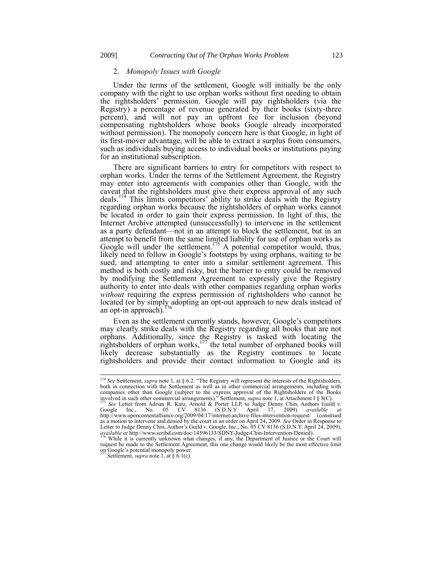## 2. *Monopoly Issues with Google*

Under the terms of the settlement, Google will initially be the only company with the right to use orphan works without first needing to obtain the rightsholders' permission. Google will pay rightsholders (via the Registry) a percentage of revenue generated by their books (sixty-three percent), and will not pay an upfront fee for inclusion (beyond compensating rightsholders whose books Google already incorporated without permission). The monopoly concern here is that Google, in light of its first-mover advantage, will be able to extract a surplus from consumers, such as individuals buying access to individual books or institutions paying for an institutional subscription.

There are significant barriers to entry for competitors with respect to orphan works. Under the terms of the Settlement Agreement, the Registry may enter into agreements with companies other than Google, with the caveat that the rightsholders must give their express approval of any such deals.<sup>174</sup> This limits competitors' ability to strike deals with the Registry regarding orphan works because the rightsholders of orphan works cannot be located in order to gain their express permission. In light of this, the Internet Archive attempted (unsuccessfully) to intervene in the settlement as a party defendant—not in an attempt to block the settlement, but in an attempt to benefit from the same limited liability for use of orphan works as Google will under the settlement.<sup>175</sup> A potential competitor would, thus, likely need to follow in Google's footsteps by using orphans, waiting to be sued, and attempting to enter into a similar settlement agreement. This method is both costly and risky, but the barrier to entry could be removed by modifying the Settlement Agreement to expressly give the Registry authority to enter into deals with other companies regarding orphan works *without* requiring the express permission of rightsholders who cannot be located (or by simply adopting an opt-out approach to new deals instead of an opt-in approach).

Even as the settlement currently stands, however, Google's competitors may clearly strike deals with the Registry regarding all books that are not orphans. Additionally, since the Registry is tasked with locating the rightsholders of orphan works, $177$  the total number of orphaned books will likely decrease substantially as the Registry continues to locate rightsholders and provide their contact information to Google and its

<sup>&</sup>lt;sup>174</sup> See Settlement, *supra* note 1, at § 6.2. "The Registry will represent the interests of the Rightsholders, both in connection with the Settlement as well as in other commercial arrangements, including with companies other than Google (subject to the express approval of the Rightsholders of the Books

involved in such other commercial arrangements)." Settlement, *supra* note 1, at Attachment I § 8(C).<br><sup>175</sup> See Letter from Adrian R. Katz, Arnold & Porter LLP, to Judge Denny Chin, Authors Guild v.<br>Google Inc., No. 05 CV http://www.opencontentalliance.org/2009/04/17/internet-archive-files-intervention-request/ (construed as a motion to intervene and denied by the court in an order on April 24, 2009. *See* Order in Response to Letter to Judge Denny Chin, Author's Guild v. Google, Inc., No. 05 CV 8136 (S.D.N.Y. April 24, 2009), *available at* http://www.scribd.com/doc/14596133/SDNY-Judge-Chin-Intervention-Denied).

<sup>&</sup>lt;sup>176</sup> While it is currently unknown what changes, if any, the Department of Justice or the Court will request be made to the Settlement Agreement, this one change would likely be the most effective limit on Google's potential monopoly power. <sup>177</sup> Settlement, *supra* note 1, at § 6.1(c).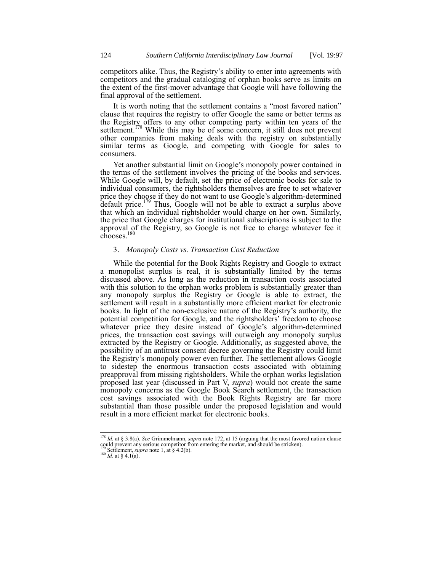competitors alike. Thus, the Registry's ability to enter into agreements with competitors and the gradual cataloging of orphan books serve as limits on the extent of the first-mover advantage that Google will have following the final approval of the settlement.

It is worth noting that the settlement contains a "most favored nation" clause that requires the registry to offer Google the same or better terms as the Registry offers to any other competing party within ten years of the settlement.<sup>178</sup> While this may be of some concern, it still does not prevent other companies from making deals with the registry on substantially similar terms as Google, and competing with Google for sales to consumers.

Yet another substantial limit on Google's monopoly power contained in the terms of the settlement involves the pricing of the books and services. While Google will, by default, set the price of electronic books for sale to individual consumers, the rightsholders themselves are free to set whatever price they choose if they do not want to use Google's algorithm-determined  $\det$  default price.<sup>179</sup> Thus, Google will not be able to extract a surplus above that which an individual rightsholder would charge on her own. Similarly, the price that Google charges for institutional subscriptions is subject to the approval of the Registry, so Google is not free to charge whatever fee it chooses.<sup>180</sup>

## 3. *Monopoly Costs vs. Transaction Cost Reduction*

While the potential for the Book Rights Registry and Google to extract a monopolist surplus is real, it is substantially limited by the terms discussed above. As long as the reduction in transaction costs associated with this solution to the orphan works problem is substantially greater than any monopoly surplus the Registry or Google is able to extract, the settlement will result in a substantially more efficient market for electronic books. In light of the non-exclusive nature of the Registry's authority, the potential competition for Google, and the rightsholders' freedom to choose whatever price they desire instead of Google's algorithm-determined prices, the transaction cost savings will outweigh any monopoly surplus extracted by the Registry or Google. Additionally, as suggested above, the possibility of an antitrust consent decree governing the Registry could limit the Registry's monopoly power even further. The settlement allows Google to sidestep the enormous transaction costs associated with obtaining preapproval from missing rightsholders. While the orphan works legislation proposed last year (discussed in Part V, *supra*) would not create the same monopoly concerns as the Google Book Search settlement, the transaction cost savings associated with the Book Rights Registry are far more substantial than those possible under the proposed legislation and would result in a more efficient market for electronic books.

 $\overline{\phantom{a}}$ 

<sup>178</sup> *Id.* at § 3.8(a). *See* Grimmelmann, *supra* note 172, at 15 (arguing that the most favored nation clause could prevent any serious competitor from entering the market, and should be stricken). <sup>179</sup> Settlement, *supra* note 1, at § 4.2(b).

<sup>&</sup>lt;sup>180</sup> *Id.* at § 4.1(a).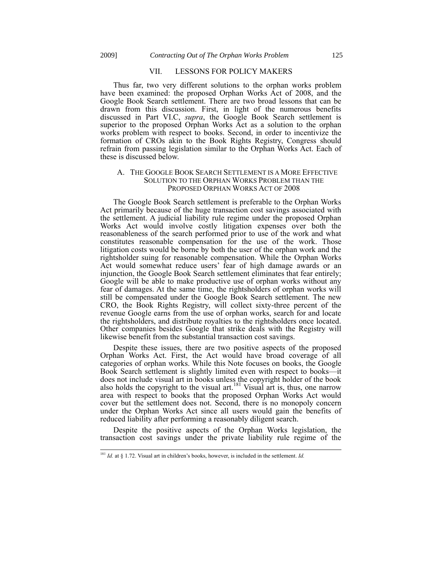$\overline{\phantom{a}}$ 

#### VII. LESSONS FOR POLICY MAKERS

Thus far, two very different solutions to the orphan works problem have been examined: the proposed Orphan Works Act of 2008, and the Google Book Search settlement. There are two broad lessons that can be drawn from this discussion. First, in light of the numerous benefits discussed in Part VI.C, *supra*, the Google Book Search settlement is superior to the proposed Orphan Works Act as a solution to the orphan works problem with respect to books. Second, in order to incentivize the formation of CROs akin to the Book Rights Registry, Congress should refrain from passing legislation similar to the Orphan Works Act. Each of these is discussed below.

#### A. THE GOOGLE BOOK SEARCH SETTLEMENT IS A MORE EFFECTIVE SOLUTION TO THE ORPHAN WORKS PROBLEM THAN THE PROPOSED ORPHAN WORKS ACT OF 2008

The Google Book Search settlement is preferable to the Orphan Works Act primarily because of the huge transaction cost savings associated with the settlement. A judicial liability rule regime under the proposed Orphan Works Act would involve costly litigation expenses over both the reasonableness of the search performed prior to use of the work and what constitutes reasonable compensation for the use of the work. Those litigation costs would be borne by both the user of the orphan work and the rightsholder suing for reasonable compensation. While the Orphan Works Act would somewhat reduce users' fear of high damage awards or an injunction, the Google Book Search settlement eliminates that fear entirely; Google will be able to make productive use of orphan works without any fear of damages. At the same time, the rightsholders of orphan works will still be compensated under the Google Book Search settlement. The new CRO, the Book Rights Registry, will collect sixty-three percent of the revenue Google earns from the use of orphan works, search for and locate the rightsholders, and distribute royalties to the rightsholders once located. Other companies besides Google that strike deals with the Registry will likewise benefit from the substantial transaction cost savings.

Despite these issues, there are two positive aspects of the proposed Orphan Works Act. First, the Act would have broad coverage of all categories of orphan works. While this Note focuses on books, the Google Book Search settlement is slightly limited even with respect to books—it does not include visual art in books unless the copyright holder of the book also holds the copyright to the visual art.<sup>181</sup> Visual art is, thus, one narrow area with respect to books that the proposed Orphan Works Act would cover but the settlement does not. Second, there is no monopoly concern under the Orphan Works Act since all users would gain the benefits of reduced liability after performing a reasonably diligent search.

Despite the positive aspects of the Orphan Works legislation, the transaction cost savings under the private liability rule regime of the

<sup>181</sup> *Id.* at § 1.72. Visual art in children's books, however, is included in the settlement. *Id.*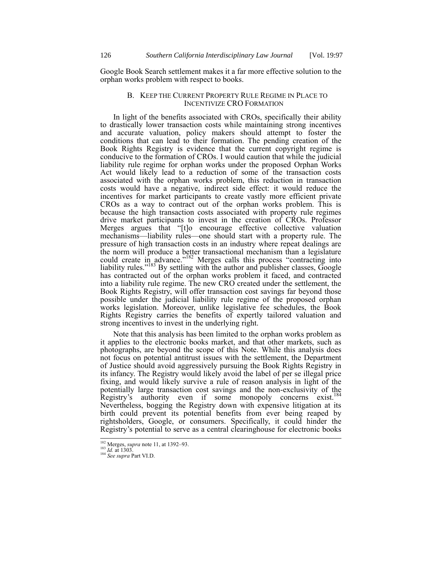Google Book Search settlement makes it a far more effective solution to the orphan works problem with respect to books.

#### B. KEEP THE CURRENT PROPERTY RULE REGIME IN PLACE TO INCENTIVIZE CRO FORMATION

In light of the benefits associated with CROs, specifically their ability to drastically lower transaction costs while maintaining strong incentives and accurate valuation, policy makers should attempt to foster the conditions that can lead to their formation. The pending creation of the Book Rights Registry is evidence that the current copyright regime is conducive to the formation of CROs. I would caution that while the judicial liability rule regime for orphan works under the proposed Orphan Works Act would likely lead to a reduction of some of the transaction costs associated with the orphan works problem, this reduction in transaction costs would have a negative, indirect side effect: it would reduce the incentives for market participants to create vastly more efficient private CROs as a way to contract out of the orphan works problem. This is because the high transaction costs associated with property rule regimes drive market participants to invest in the creation of CROs. Professor Merges argues that "[t]o encourage effective collective valuation mechanisms—liability rules—one should start with a property rule. The pressure of high transaction costs in an industry where repeat dealings are the norm will produce a better transactional mechanism than a legislature could create in advance."<sup>182</sup> Merges calls this process "contracting into liability rules."<sup>183</sup> By settling with the author and publisher classes, Google has contracted out of the orphan works problem it faced, and contracted into a liability rule regime. The new CRO created under the settlement, the Book Rights Registry, will offer transaction cost savings far beyond those possible under the judicial liability rule regime of the proposed orphan works legislation. Moreover, unlike legislative fee schedules, the Book Rights Registry carries the benefits of expertly tailored valuation and strong incentives to invest in the underlying right.

Note that this analysis has been limited to the orphan works problem as it applies to the electronic books market, and that other markets, such as photographs, are beyond the scope of this Note. While this analysis does not focus on potential antitrust issues with the settlement, the Department of Justice should avoid aggressively pursuing the Book Rights Registry in its infancy. The Registry would likely avoid the label of per se illegal price fixing, and would likely survive a rule of reason analysis in light of the potentially large transaction cost savings and the non-exclusivity of the Registry's authority even if some monopoly concerns exist.<sup>184</sup> Nevertheless, bogging the Registry down with expensive litigation at its birth could prevent its potential benefits from ever being reaped by rightsholders, Google, or consumers. Specifically, it could hinder the Registry's potential to serve as a central clearinghouse for electronic books

 $\overline{\phantom{a}}$ 

<sup>182</sup> Merges, *supra* not[e 11,](#page-2-0) at 1392–93.

<sup>183</sup> *Id.* at 1303. <sup>184</sup> See supra Part VI.D.